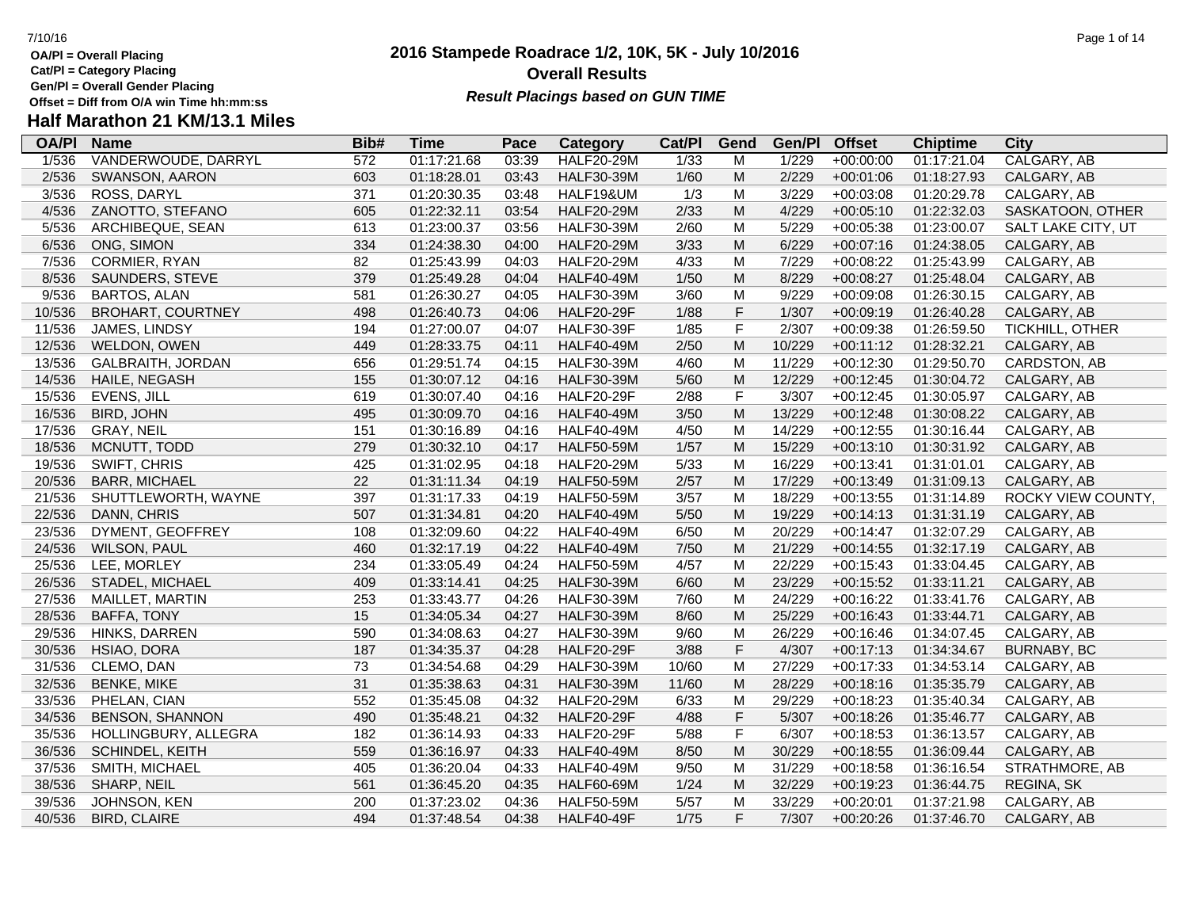- **OA/Pl = Overall Placing**
- **Cat/Pl = Category Placing**
- **Gen/Pl = Overall Gender Placing**
- **Half Marathon 21 KM/13.1 Miles**

### **2016 Stampede Roadrace 1/2, 10K, 5K - July 10/2016** 7/10/16 Page 1 of 14 **Overall Results** Gen/PI = Overall Gender Placing<br>Offset = Diff from O/A win Time hh:mm:ss *Result Placings based on GUN TIME*

| <b>OA/PI</b> | <b>Name</b>              | Bib# | <b>Time</b> | Pace  | <b>Category</b>   | Cat/PI | Gend        | Gen/Pl | <b>Offset</b> | <b>Chiptime</b> | <b>City</b>        |
|--------------|--------------------------|------|-------------|-------|-------------------|--------|-------------|--------|---------------|-----------------|--------------------|
| 1/536        | VANDERWOUDE, DARRYL      | 572  | 01:17:21.68 | 03:39 | <b>HALF20-29M</b> | 1/33   | M           | 1/229  | $+00:00:00$   | 01:17:21.04     | CALGARY, AB        |
| 2/536        | SWANSON, AARON           | 603  | 01:18:28.01 | 03:43 | <b>HALF30-39M</b> | 1/60   | M           | 2/229  | $+00:01:06$   | 01:18:27.93     | CALGARY, AB        |
| 3/536        | ROSS, DARYL              | 371  | 01:20:30.35 | 03:48 | HALF19&UM         | 1/3    | M           | 3/229  | $+00:03:08$   | 01:20:29.78     | CALGARY, AB        |
| 4/536        | ZANOTTO, STEFANO         | 605  | 01:22:32.11 | 03:54 | <b>HALF20-29M</b> | 2/33   | M           | 4/229  | $+00:05:10$   | 01:22:32.03     | SASKATOON, OTHER   |
| 5/536        | ARCHIBEQUE, SEAN         | 613  | 01:23:00.37 | 03:56 | <b>HALF30-39M</b> | 2/60   | M           | 5/229  | $+00:05:38$   | 01:23:00.07     | SALT LAKE CITY, UT |
| 6/536        | ONG, SIMON               | 334  | 01:24:38.30 | 04:00 | <b>HALF20-29M</b> | 3/33   | M           | 6/229  | $+00:07:16$   | 01:24:38.05     | CALGARY, AB        |
| 7/536        | <b>CORMIER, RYAN</b>     | 82   | 01:25:43.99 | 04:03 | <b>HALF20-29M</b> | 4/33   | м           | 7/229  | $+00:08:22$   | 01:25:43.99     | CALGARY, AB        |
| 8/536        | SAUNDERS, STEVE          | 379  | 01:25:49.28 | 04:04 | <b>HALF40-49M</b> | 1/50   | M           | 8/229  | $+00:08:27$   | 01:25:48.04     | CALGARY, AB        |
| 9/536        | <b>BARTOS, ALAN</b>      | 581  | 01:26:30.27 | 04:05 | <b>HALF30-39M</b> | 3/60   | M           | 9/229  | $+00:09:08$   | 01:26:30.15     | CALGARY, AB        |
| 10/536       | <b>BROHART, COURTNEY</b> | 498  | 01:26:40.73 | 04:06 | <b>HALF20-29F</b> | 1/88   | F           | 1/307  | $+00:09:19$   | 01:26:40.28     | CALGARY, AB        |
| 11/536       | JAMES, LINDSY            | 194  | 01:27:00.07 | 04:07 | <b>HALF30-39F</b> | 1/85   | F           | 2/307  | $+00:09:38$   | 01:26:59.50     | TICKHILL, OTHER    |
| 12/536       | WELDON, OWEN             | 449  | 01:28:33.75 | 04:11 | <b>HALF40-49M</b> | 2/50   | M           | 10/229 | $+00:11:12$   | 01:28:32.21     | CALGARY, AB        |
| 13/536       | <b>GALBRAITH, JORDAN</b> | 656  | 01:29:51.74 | 04:15 | <b>HALF30-39M</b> | 4/60   | M           | 11/229 | $+00:12:30$   | 01:29:50.70     | CARDSTON, AB       |
| 14/536       | HAILE, NEGASH            | 155  | 01:30:07.12 | 04:16 | <b>HALF30-39M</b> | 5/60   | M           | 12/229 | $+00:12:45$   | 01:30:04.72     | CALGARY, AB        |
| 15/536       | <b>EVENS, JILL</b>       | 619  | 01:30:07.40 | 04:16 | <b>HALF20-29F</b> | 2/88   | F           | 3/307  | $+00:12:45$   | 01:30:05.97     | CALGARY, AB        |
| 16/536       | BIRD, JOHN               | 495  | 01:30:09.70 | 04:16 | <b>HALF40-49M</b> | 3/50   | M           | 13/229 | $+00:12:48$   | 01:30:08.22     | CALGARY, AB        |
| 17/536       | <b>GRAY, NEIL</b>        | 151  | 01:30:16.89 | 04:16 | <b>HALF40-49M</b> | 4/50   | M           | 14/229 | $+00:12:55$   | 01:30:16.44     | CALGARY, AB        |
| 18/536       | MCNUTT, TODD             | 279  | 01:30:32.10 | 04:17 | <b>HALF50-59M</b> | 1/57   | M           | 15/229 | $+00:13:10$   | 01:30:31.92     | CALGARY, AB        |
| 19/536       | SWIFT, CHRIS             | 425  | 01:31:02.95 | 04:18 | <b>HALF20-29M</b> | 5/33   | M           | 16/229 | $+00:13:41$   | 01:31:01.01     | CALGARY, AB        |
| 20/536       | <b>BARR, MICHAEL</b>     | 22   | 01:31:11.34 | 04:19 | <b>HALF50-59M</b> | 2/57   | M           | 17/229 | $+00:13:49$   | 01:31:09.13     | CALGARY, AB        |
| 21/536       | SHUTTLEWORTH, WAYNE      | 397  | 01:31:17.33 | 04:19 | <b>HALF50-59M</b> | 3/57   | M           | 18/229 | $+00:13:55$   | 01:31:14.89     | ROCKY VIEW COUNTY, |
| 22/536       | DANN, CHRIS              | 507  | 01:31:34.81 | 04:20 | <b>HALF40-49M</b> | 5/50   | M           | 19/229 | $+00:14:13$   | 01:31:31.19     | CALGARY, AB        |
| 23/536       | DYMENT, GEOFFREY         | 108  | 01:32:09.60 | 04:22 | <b>HALF40-49M</b> | 6/50   | M           | 20/229 | $+00:14:47$   | 01:32:07.29     | CALGARY, AB        |
| 24/536       | <b>WILSON, PAUL</b>      | 460  | 01:32:17.19 | 04:22 | <b>HALF40-49M</b> | 7/50   | M           | 21/229 | $+00:14:55$   | 01:32:17.19     | CALGARY, AB        |
| 25/536       | LEE, MORLEY              | 234  | 01:33:05.49 | 04:24 | <b>HALF50-59M</b> | 4/57   | M           | 22/229 | $+00:15:43$   | 01:33:04.45     | CALGARY, AB        |
| 26/536       | STADEL, MICHAEL          | 409  | 01:33:14.41 | 04:25 | <b>HALF30-39M</b> | 6/60   | M           | 23/229 | $+00:15:52$   | 01:33:11.21     | CALGARY, AB        |
| 27/536       | <b>MAILLET, MARTIN</b>   | 253  | 01:33:43.77 | 04:26 | <b>HALF30-39M</b> | 7/60   | M           | 24/229 | $+00:16:22$   | 01:33:41.76     | CALGARY, AB        |
| 28/536       | BAFFA, TONY              | 15   | 01:34:05.34 | 04:27 | <b>HALF30-39M</b> | 8/60   | M           | 25/229 | $+00:16:43$   | 01:33:44.71     | CALGARY, AB        |
| 29/536       | HINKS, DARREN            | 590  | 01:34:08.63 | 04:27 | <b>HALF30-39M</b> | 9/60   | M           | 26/229 | $+00:16:46$   | 01:34:07.45     | CALGARY, AB        |
| 30/536       | HSIAO, DORA              | 187  | 01:34:35.37 | 04:28 | <b>HALF20-29F</b> | 3/88   | $\mathsf F$ | 4/307  | $+00:17:13$   | 01:34:34.67     | <b>BURNABY, BC</b> |
| 31/536       | CLEMO, DAN               | 73   | 01:34:54.68 | 04:29 | <b>HALF30-39M</b> | 10/60  | M           | 27/229 | $+00:17:33$   | 01:34:53.14     | CALGARY, AB        |
| 32/536       | <b>BENKE, MIKE</b>       | 31   | 01:35:38.63 | 04:31 | <b>HALF30-39M</b> | 11/60  | M           | 28/229 | $+00:18:16$   | 01:35:35.79     | CALGARY, AB        |
| 33/536       | PHELAN, CIAN             | 552  | 01:35:45.08 | 04:32 | <b>HALF20-29M</b> | 6/33   | M           | 29/229 | $+00:18:23$   | 01:35:40.34     | CALGARY, AB        |
| 34/536       | <b>BENSON, SHANNON</b>   | 490  | 01:35:48.21 | 04:32 | <b>HALF20-29F</b> | 4/88   | F           | 5/307  | $+00:18:26$   | 01:35:46.77     | CALGARY, AB        |
| 35/536       | HOLLINGBURY, ALLEGRA     | 182  | 01:36:14.93 | 04:33 | <b>HALF20-29F</b> | 5/88   | F           | 6/307  | $+00:18:53$   | 01:36:13.57     | CALGARY, AB        |
| 36/536       | SCHINDEL, KEITH          | 559  | 01:36:16.97 | 04:33 | <b>HALF40-49M</b> | 8/50   | M           | 30/229 | $+00:18:55$   | 01:36:09.44     | CALGARY, AB        |
| 37/536       | SMITH, MICHAEL           | 405  | 01:36:20.04 | 04:33 | <b>HALF40-49M</b> | 9/50   | M           | 31/229 | $+00:18:58$   | 01:36:16.54     | STRATHMORE, AB     |
| 38/536       | SHARP, NEIL              | 561  | 01:36:45.20 | 04:35 | <b>HALF60-69M</b> | 1/24   | M           | 32/229 | $+00:19:23$   | 01:36:44.75     | REGINA, SK         |
| 39/536       | JOHNSON, KEN             | 200  | 01:37:23.02 | 04:36 | <b>HALF50-59M</b> | 5/57   | M           | 33/229 | $+00:20:01$   | 01:37:21.98     | CALGARY, AB        |
| 40/536       | <b>BIRD, CLAIRE</b>      | 494  | 01:37:48.54 | 04:38 | <b>HALF40-49F</b> | 1/75   | F           | 7/307  | $+00:20:26$   | 01:37:46.70     | CALGARY, AB        |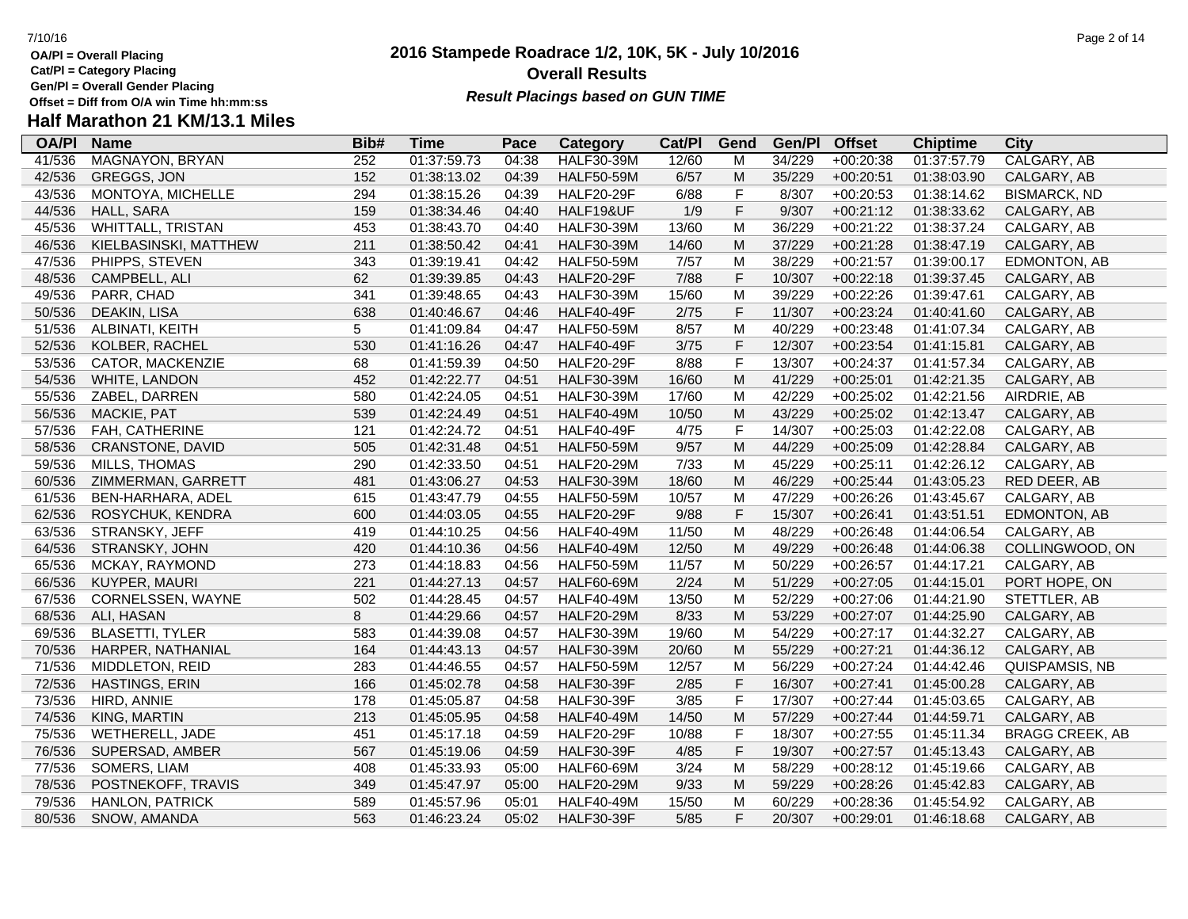- **OA/Pl = Overall Placing Cat/Pl = Category Placing**
- 
- **Gen/Pl = Overall Gender Placing**

### **2016 Stampede Roadrace 1/2, 10K, 5K - July 10/2016** 7/10/16 Page 2 of 14 **Overall Results Result Placings based on GUN TIME**

| <b>OA/PI</b> | <b>Name</b>            | Bib# | <b>Time</b> | Pace  | Category          | Cat/PI | Gend        | Gen/Pl | <b>Offset</b> | <b>Chiptime</b> | City                   |
|--------------|------------------------|------|-------------|-------|-------------------|--------|-------------|--------|---------------|-----------------|------------------------|
| 41/536       | <b>MAGNAYON, BRYAN</b> | 252  | 01:37:59.73 | 04:38 | <b>HALF30-39M</b> | 12/60  | M           | 34/229 | $+00:20:38$   | 01:37:57.79     | CALGARY, AB            |
| 42/536       | GREGGS, JON            | 152  | 01:38:13.02 | 04:39 | <b>HALF50-59M</b> | 6/57   | M           | 35/229 | $+00:20:51$   | 01:38:03.90     | CALGARY, AB            |
| 43/536       | MONTOYA, MICHELLE      | 294  | 01:38:15.26 | 04:39 | <b>HALF20-29F</b> | 6/88   | $\mathsf F$ | 8/307  | $+00:20:53$   | 01:38:14.62     | <b>BISMARCK, ND</b>    |
| 44/536       | <b>HALL, SARA</b>      | 159  | 01:38:34.46 | 04:40 | HALF19&UF         | 1/9    | $\mathsf F$ | 9/307  | $+00:21:12$   | 01:38:33.62     | CALGARY, AB            |
| 45/536       | WHITTALL, TRISTAN      | 453  | 01:38:43.70 | 04:40 | <b>HALF30-39M</b> | 13/60  | M           | 36/229 | $+00:21:22$   | 01:38:37.24     | CALGARY, AB            |
| 46/536       | KIELBASINSKI, MATTHEW  | 211  | 01:38:50.42 | 04:41 | <b>HALF30-39M</b> | 14/60  | M           | 37/229 | $+00:21:28$   | 01:38:47.19     | CALGARY, AB            |
| 47/536       | PHIPPS, STEVEN         | 343  | 01:39:19.41 | 04:42 | <b>HALF50-59M</b> | 7/57   | M           | 38/229 | $+00:21:57$   | 01:39:00.17     | EDMONTON, AB           |
| 48/536       | CAMPBELL, ALI          | 62   | 01:39:39.85 | 04:43 | <b>HALF20-29F</b> | 7/88   | $\mathsf F$ | 10/307 | $+00:22:18$   | 01:39:37.45     | CALGARY, AB            |
| 49/536       | PARR, CHAD             | 341  | 01:39:48.65 | 04:43 | <b>HALF30-39M</b> | 15/60  | M           | 39/229 | $+00:22:26$   | 01:39:47.61     | CALGARY, AB            |
| 50/536       | DEAKIN, LISA           | 638  | 01:40:46.67 | 04:46 | <b>HALF40-49F</b> | 2/75   | $\mathsf F$ | 11/307 | $+00:23:24$   | 01:40:41.60     | CALGARY, AB            |
| 51/536       | ALBINATI, KEITH        | 5    | 01:41:09.84 | 04:47 | <b>HALF50-59M</b> | 8/57   | M           | 40/229 | $+00:23:48$   | 01:41:07.34     | CALGARY, AB            |
| 52/536       | KOLBER, RACHEL         | 530  | 01:41:16.26 | 04:47 | <b>HALF40-49F</b> | $3/75$ | $\mathsf F$ | 12/307 | $+00:23:54$   | 01:41:15.81     | CALGARY, AB            |
| 53/536       | CATOR, MACKENZIE       | 68   | 01:41:59.39 | 04:50 | <b>HALF20-29F</b> | 8/88   | $\mathsf F$ | 13/307 | $+00:24:37$   | 01:41:57.34     | CALGARY, AB            |
| 54/536       | WHITE, LANDON          | 452  | 01:42:22.77 | 04:51 | <b>HALF30-39M</b> | 16/60  | M           | 41/229 | $+00:25:01$   | 01:42:21.35     | CALGARY, AB            |
| 55/536       | ZABEL, DARREN          | 580  | 01:42:24.05 | 04:51 | <b>HALF30-39M</b> | 17/60  | M           | 42/229 | $+00:25:02$   | 01:42:21.56     | AIRDRIE, AB            |
| 56/536       | MACKIE, PAT            | 539  | 01:42:24.49 | 04:51 | <b>HALF40-49M</b> | 10/50  | M           | 43/229 | $+00:25:02$   | 01:42:13.47     | CALGARY, AB            |
| 57/536       | FAH, CATHERINE         | 121  | 01:42:24.72 | 04:51 | <b>HALF40-49F</b> | 4/75   | $\mathsf F$ | 14/307 | $+00:25:03$   | 01:42:22.08     | CALGARY, AB            |
| 58/536       | CRANSTONE, DAVID       | 505  | 01:42:31.48 | 04:51 | <b>HALF50-59M</b> | 9/57   | M           | 44/229 | $+00:25:09$   | 01:42:28.84     | CALGARY, AB            |
| 59/536       | <b>MILLS, THOMAS</b>   | 290  | 01:42:33.50 | 04:51 | <b>HALF20-29M</b> | $7/33$ | M           | 45/229 | $+00:25:11$   | 01:42:26.12     | CALGARY, AB            |
| 60/536       | ZIMMERMAN, GARRETT     | 481  | 01:43:06.27 | 04:53 | <b>HALF30-39M</b> | 18/60  | M           | 46/229 | $+00:25:44$   | 01:43:05.23     | RED DEER, AB           |
| 61/536       | BEN-HARHARA, ADEL      | 615  | 01:43:47.79 | 04:55 | <b>HALF50-59M</b> | 10/57  | M           | 47/229 | $+00:26:26$   | 01:43:45.67     | CALGARY, AB            |
| 62/536       | ROSYCHUK, KENDRA       | 600  | 01:44:03.05 | 04:55 | <b>HALF20-29F</b> | 9/88   | $\mathsf F$ | 15/307 | $+00:26:41$   | 01:43:51.51     | EDMONTON, AB           |
| 63/536       | STRANSKY, JEFF         | 419  | 01:44:10.25 | 04:56 | <b>HALF40-49M</b> | 11/50  | M           | 48/229 | $+00:26:48$   | 01:44:06.54     | CALGARY, AB            |
| 64/536       | STRANSKY, JOHN         | 420  | 01:44:10.36 | 04:56 | <b>HALF40-49M</b> | 12/50  | M           | 49/229 | $+00:26:48$   | 01:44:06.38     | COLLINGWOOD, ON        |
| 65/536       | MCKAY, RAYMOND         | 273  | 01:44:18.83 | 04:56 | <b>HALF50-59M</b> | 11/57  | M           | 50/229 | $+00:26:57$   | 01:44:17.21     | CALGARY, AB            |
| 66/536       | KUYPER, MAURI          | 221  | 01:44:27.13 | 04:57 | <b>HALF60-69M</b> | 2/24   | M           | 51/229 | $+00:27:05$   | 01:44:15.01     | PORT HOPE, ON          |
| 67/536       | CORNELSSEN, WAYNE      | 502  | 01:44:28.45 | 04:57 | <b>HALF40-49M</b> | 13/50  | M           | 52/229 | $+00:27:06$   | 01:44:21.90     | STETTLER, AB           |
| 68/536       | ALI, HASAN             | 8    | 01:44:29.66 | 04:57 | <b>HALF20-29M</b> | 8/33   | M           | 53/229 | $+00:27:07$   | 01:44:25.90     | CALGARY, AB            |
| 69/536       | <b>BLASETTI, TYLER</b> | 583  | 01:44:39.08 | 04:57 | <b>HALF30-39M</b> | 19/60  | M           | 54/229 | $+00:27:17$   | 01:44:32.27     | CALGARY, AB            |
| 70/536       | HARPER, NATHANIAL      | 164  | 01:44:43.13 | 04:57 | <b>HALF30-39M</b> | 20/60  | M           | 55/229 | $+00:27:21$   | 01:44:36.12     | CALGARY, AB            |
| 71/536       | MIDDLETON, REID        | 283  | 01:44:46.55 | 04:57 | <b>HALF50-59M</b> | 12/57  | M           | 56/229 | $+00:27:24$   | 01:44:42.46     | QUISPAMSIS, NB         |
| 72/536       | HASTINGS, ERIN         | 166  | 01:45:02.78 | 04:58 | <b>HALF30-39F</b> | 2/85   | $\mathsf F$ | 16/307 | $+00:27:41$   | 01:45:00.28     | CALGARY, AB            |
| 73/536       | HIRD, ANNIE            | 178  | 01:45:05.87 | 04:58 | <b>HALF30-39F</b> | 3/85   | $\mathsf F$ | 17/307 | $+00:27:44$   | 01:45:03.65     | CALGARY, AB            |
| 74/536       | KING, MARTIN           | 213  | 01:45:05.95 | 04:58 | <b>HALF40-49M</b> | 14/50  | M           | 57/229 | $+00:27:44$   | 01:44:59.71     | CALGARY, AB            |
| 75/536       | WETHERELL, JADE        | 451  | 01:45:17.18 | 04:59 | <b>HALF20-29F</b> | 10/88  | $\mathsf F$ | 18/307 | $+00:27:55$   | 01:45:11.34     | <b>BRAGG CREEK, AB</b> |
| 76/536       | SUPERSAD, AMBER        | 567  | 01:45:19.06 | 04:59 | <b>HALF30-39F</b> | 4/85   | $\mathsf F$ | 19/307 | $+00:27:57$   | 01:45:13.43     | CALGARY, AB            |
| 77/536       | SOMERS, LIAM           | 408  | 01:45:33.93 | 05:00 | <b>HALF60-69M</b> | 3/24   | M           | 58/229 | $+00:28:12$   | 01:45:19.66     | CALGARY, AB            |
| 78/536       | POSTNEKOFF, TRAVIS     | 349  | 01:45:47.97 | 05:00 | <b>HALF20-29M</b> | 9/33   | M           | 59/229 | $+00:28:26$   | 01:45:42.83     | CALGARY, AB            |
| 79/536       | <b>HANLON, PATRICK</b> | 589  | 01:45:57.96 | 05:01 | <b>HALF40-49M</b> | 15/50  | M           | 60/229 | $+00:28:36$   | 01:45:54.92     | CALGARY, AB            |
| 80/536       | SNOW, AMANDA           | 563  | 01:46:23.24 | 05:02 | <b>HALF30-39F</b> | 5/85   | F           | 20/307 | $+00:29:01$   | 01:46:18.68     | CALGARY, AB            |
|              |                        |      |             |       |                   |        |             |        |               |                 |                        |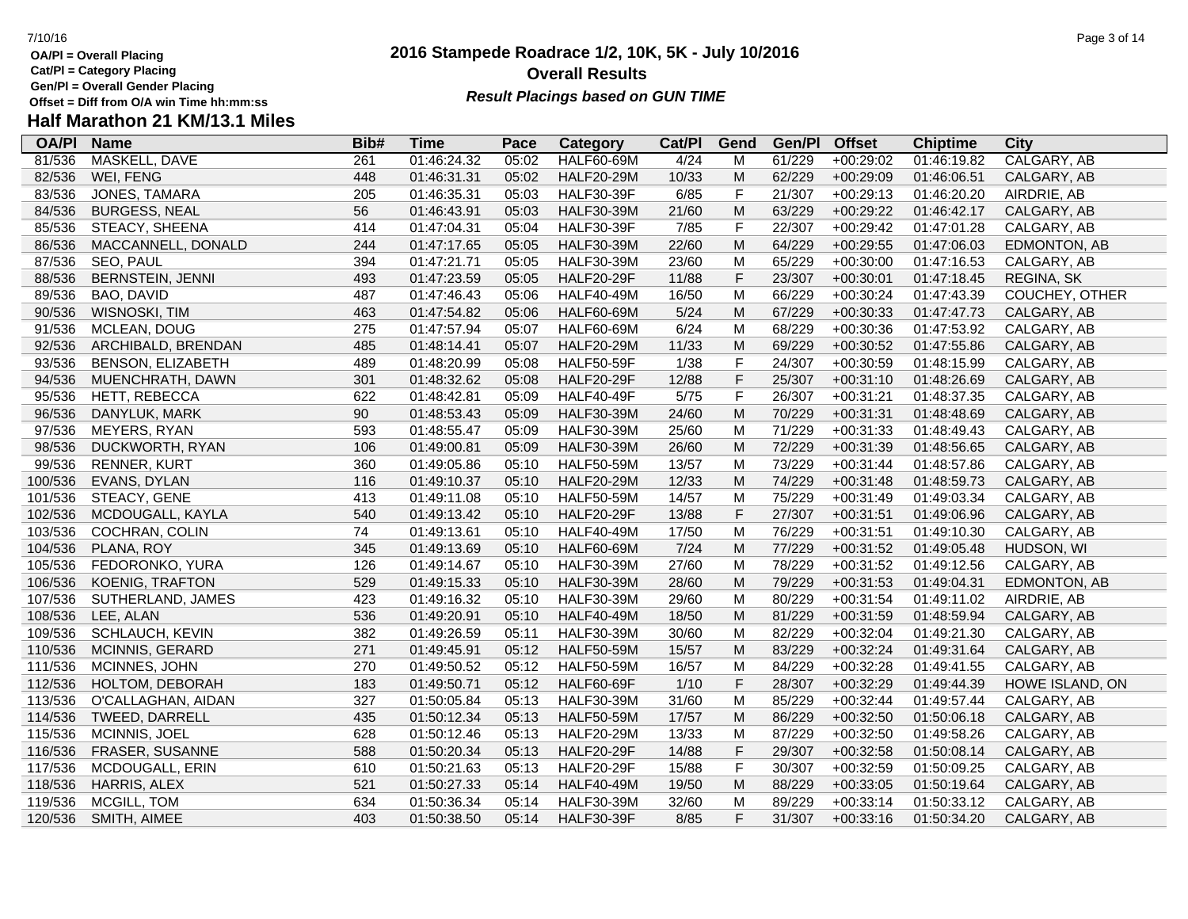**Gen/Pl = Overall Gender Placing**

# **Half Marathon 21 KM/13.1 Miles**

| <b>OA/PI</b> | <b>Name</b>              | Bib# | <b>Time</b> | Pace  | Category          | Cat/PI | Gend        | Gen/Pl | <b>Offset</b> | <b>Chiptime</b> | <b>City</b>     |
|--------------|--------------------------|------|-------------|-------|-------------------|--------|-------------|--------|---------------|-----------------|-----------------|
| 81/536       | MASKELL, DAVE            | 261  | 01:46:24.32 | 05:02 | <b>HALF60-69M</b> | 4/24   | M           | 61/229 | $+00:29:02$   | 01:46:19.82     | CALGARY, AB     |
| 82/536       | WEI, FENG                | 448  | 01:46:31.31 | 05:02 | <b>HALF20-29M</b> | 10/33  | M           | 62/229 | $+00:29:09$   | 01:46:06.51     | CALGARY, AB     |
| 83/536       | JONES, TAMARA            | 205  | 01:46:35.31 | 05:03 | <b>HALF30-39F</b> | 6/85   | $\mathsf F$ | 21/307 | $+00:29:13$   | 01:46:20.20     | AIRDRIE, AB     |
| 84/536       | <b>BURGESS, NEAL</b>     | 56   | 01:46:43.91 | 05:03 | <b>HALF30-39M</b> | 21/60  | M           | 63/229 | $+00:29:22$   | 01:46:42.17     | CALGARY, AB     |
| 85/536       | STEACY, SHEENA           | 414  | 01:47:04.31 | 05:04 | <b>HALF30-39F</b> | 7/85   | $\mathsf F$ | 22/307 | $+00:29:42$   | 01:47:01.28     | CALGARY, AB     |
| 86/536       | MACCANNELL, DONALD       | 244  | 01:47:17.65 | 05:05 | <b>HALF30-39M</b> | 22/60  | ${\sf M}$   | 64/229 | $+00:29:55$   | 01:47:06.03     | EDMONTON, AB    |
| 87/536       | SEO, PAUL                | 394  | 01:47:21.71 | 05:05 | <b>HALF30-39M</b> | 23/60  | M           | 65/229 | $+00:30:00$   | 01:47:16.53     | CALGARY, AB     |
| 88/536       | <b>BERNSTEIN, JENNI</b>  | 493  | 01:47:23.59 | 05:05 | <b>HALF20-29F</b> | 11/88  | $\mathsf F$ | 23/307 | $+00:30:01$   | 01:47:18.45     | REGINA, SK      |
| 89/536       | BAO, DAVID               | 487  | 01:47:46.43 | 05:06 | <b>HALF40-49M</b> | 16/50  | M           | 66/229 | $+00:30:24$   | 01:47:43.39     | COUCHEY, OTHER  |
| 90/536       | WISNOSKI, TIM            | 463  | 01:47:54.82 | 05:06 | <b>HALF60-69M</b> | 5/24   | M           | 67/229 | $+00:30:33$   | 01:47:47.73     | CALGARY, AB     |
| 91/536       | MCLEAN, DOUG             | 275  | 01:47:57.94 | 05:07 | <b>HALF60-69M</b> | 6/24   | M           | 68/229 | $+00:30:36$   | 01:47:53.92     | CALGARY, AB     |
| 92/536       | ARCHIBALD, BRENDAN       | 485  | 01:48:14.41 | 05:07 | <b>HALF20-29M</b> | 11/33  | M           | 69/229 | $+00:30:52$   | 01:47:55.86     | CALGARY, AB     |
| 93/536       | <b>BENSON, ELIZABETH</b> | 489  | 01:48:20.99 | 05:08 | <b>HALF50-59F</b> | 1/38   | $\mathsf F$ | 24/307 | $+00:30:59$   | 01:48:15.99     | CALGARY, AB     |
| 94/536       | MUENCHRATH, DAWN         | 301  | 01:48:32.62 | 05:08 | <b>HALF20-29F</b> | 12/88  | $\mathsf F$ | 25/307 | $+00:31:10$   | 01:48:26.69     | CALGARY, AB     |
| 95/536       | HETT, REBECCA            | 622  | 01:48:42.81 | 05:09 | <b>HALF40-49F</b> | $5/75$ | $\mathsf F$ | 26/307 | $+00:31:21$   | 01:48:37.35     | CALGARY, AB     |
| 96/536       | DANYLUK, MARK            | 90   | 01:48:53.43 | 05:09 | <b>HALF30-39M</b> | 24/60  | ${\sf M}$   | 70/229 | $+00:31:31$   | 01:48:48.69     | CALGARY, AB     |
| 97/536       | MEYERS, RYAN             | 593  | 01:48:55.47 | 05:09 | <b>HALF30-39M</b> | 25/60  | M           | 71/229 | $+00:31:33$   | 01:48:49.43     | CALGARY, AB     |
| 98/536       | DUCKWORTH, RYAN          | 106  | 01:49:00.81 | 05:09 | <b>HALF30-39M</b> | 26/60  | M           | 72/229 | $+00:31:39$   | 01:48:56.65     | CALGARY, AB     |
| 99/536       | <b>RENNER, KURT</b>      | 360  | 01:49:05.86 | 05:10 | <b>HALF50-59M</b> | 13/57  | M           | 73/229 | $+00:31:44$   | 01:48:57.86     | CALGARY, AB     |
| 100/536      | EVANS, DYLAN             | 116  | 01:49:10.37 | 05:10 | <b>HALF20-29M</b> | 12/33  | M           | 74/229 | $+00:31:48$   | 01:48:59.73     | CALGARY, AB     |
| 101/536      | STEACY, GENE             | 413  | 01:49:11.08 | 05:10 | <b>HALF50-59M</b> | 14/57  | M           | 75/229 | $+00:31:49$   | 01:49:03.34     | CALGARY, AB     |
| 102/536      | MCDOUGALL, KAYLA         | 540  | 01:49:13.42 | 05:10 | <b>HALF20-29F</b> | 13/88  | $\mathsf F$ | 27/307 | $+00:31:51$   | 01:49:06.96     | CALGARY, AB     |
| 103/536      | COCHRAN, COLIN           | 74   | 01:49:13.61 | 05:10 | <b>HALF40-49M</b> | 17/50  | M           | 76/229 | $+00:31:51$   | 01:49:10.30     | CALGARY, AB     |
| 104/536      | PLANA, ROY               | 345  | 01:49:13.69 | 05:10 | <b>HALF60-69M</b> | $7/24$ | ${\sf M}$   | 77/229 | $+00:31:52$   | 01:49:05.48     | HUDSON, WI      |
| 105/536      | FEDORONKO, YURA          | 126  | 01:49:14.67 | 05:10 | <b>HALF30-39M</b> | 27/60  | M           | 78/229 | $+00:31:52$   | 01:49:12.56     | CALGARY, AB     |
| 106/536      | KOENIG, TRAFTON          | 529  | 01:49:15.33 | 05:10 | <b>HALF30-39M</b> | 28/60  | M           | 79/229 | $+00:31:53$   | 01:49:04.31     | EDMONTON, AB    |
| 107/536      | SUTHERLAND, JAMES        | 423  | 01:49:16.32 | 05:10 | <b>HALF30-39M</b> | 29/60  | M           | 80/229 | $+00:31:54$   | 01:49:11.02     | AIRDRIE, AB     |
| 108/536      | LEE, ALAN                | 536  | 01:49:20.91 | 05:10 | <b>HALF40-49M</b> | 18/50  | M           | 81/229 | $+00:31:59$   | 01:48:59.94     | CALGARY, AB     |
| 109/536      | SCHLAUCH, KEVIN          | 382  | 01:49:26.59 | 05:11 | <b>HALF30-39M</b> | 30/60  | M           | 82/229 | $+00:32:04$   | 01:49:21.30     | CALGARY, AB     |
| 110/536      | MCINNIS, GERARD          | 271  | 01:49:45.91 | 05:12 | <b>HALF50-59M</b> | 15/57  | M           | 83/229 | $+00:32:24$   | 01:49:31.64     | CALGARY, AB     |
| 111/536      | MCINNES, JOHN            | 270  | 01:49:50.52 | 05:12 | <b>HALF50-59M</b> | 16/57  | M           | 84/229 | $+00:32:28$   | 01:49:41.55     | CALGARY, AB     |
| 112/536      | HOLTOM, DEBORAH          | 183  | 01:49:50.71 | 05:12 | <b>HALF60-69F</b> | 1/10   | $\mathsf F$ | 28/307 | $+00:32:29$   | 01:49:44.39     | HOWE ISLAND, ON |
| 113/536      | O'CALLAGHAN, AIDAN       | 327  | 01:50:05.84 | 05:13 | <b>HALF30-39M</b> | 31/60  | M           | 85/229 | $+00:32:44$   | 01:49:57.44     | CALGARY, AB     |
| 114/536      | TWEED, DARRELL           | 435  | 01:50:12.34 | 05:13 | <b>HALF50-59M</b> | 17/57  | M           | 86/229 | $+00:32:50$   | 01:50:06.18     | CALGARY, AB     |
| 115/536      | MCINNIS, JOEL            | 628  | 01:50:12.46 | 05:13 | <b>HALF20-29M</b> | 13/33  | M           | 87/229 | $+00:32:50$   | 01:49:58.26     | CALGARY, AB     |
| 116/536      | FRASER, SUSANNE          | 588  | 01:50:20.34 | 05:13 | <b>HALF20-29F</b> | 14/88  | $\mathsf F$ | 29/307 | $+00:32:58$   | 01:50:08.14     | CALGARY, AB     |
| 117/536      | MCDOUGALL, ERIN          | 610  | 01:50:21.63 | 05:13 | <b>HALF20-29F</b> | 15/88  | $\mathsf F$ | 30/307 | $+00:32:59$   | 01:50:09.25     | CALGARY, AB     |
| 118/536      | <b>HARRIS, ALEX</b>      | 521  | 01:50:27.33 | 05:14 | <b>HALF40-49M</b> | 19/50  | M           | 88/229 | $+00:33:05$   | 01:50:19.64     | CALGARY, AB     |
| 119/536      | MCGILL, TOM              | 634  | 01:50:36.34 | 05:14 | <b>HALF30-39M</b> | 32/60  | M           | 89/229 | $+00:33:14$   | 01:50:33.12     | CALGARY, AB     |
| 120/536      | SMITH, AIMEE             | 403  | 01:50:38.50 | 05:14 | <b>HALF30-39F</b> | 8/85   | F           | 31/307 | $+00:33:16$   | 01:50:34.20     | CALGARY, AB     |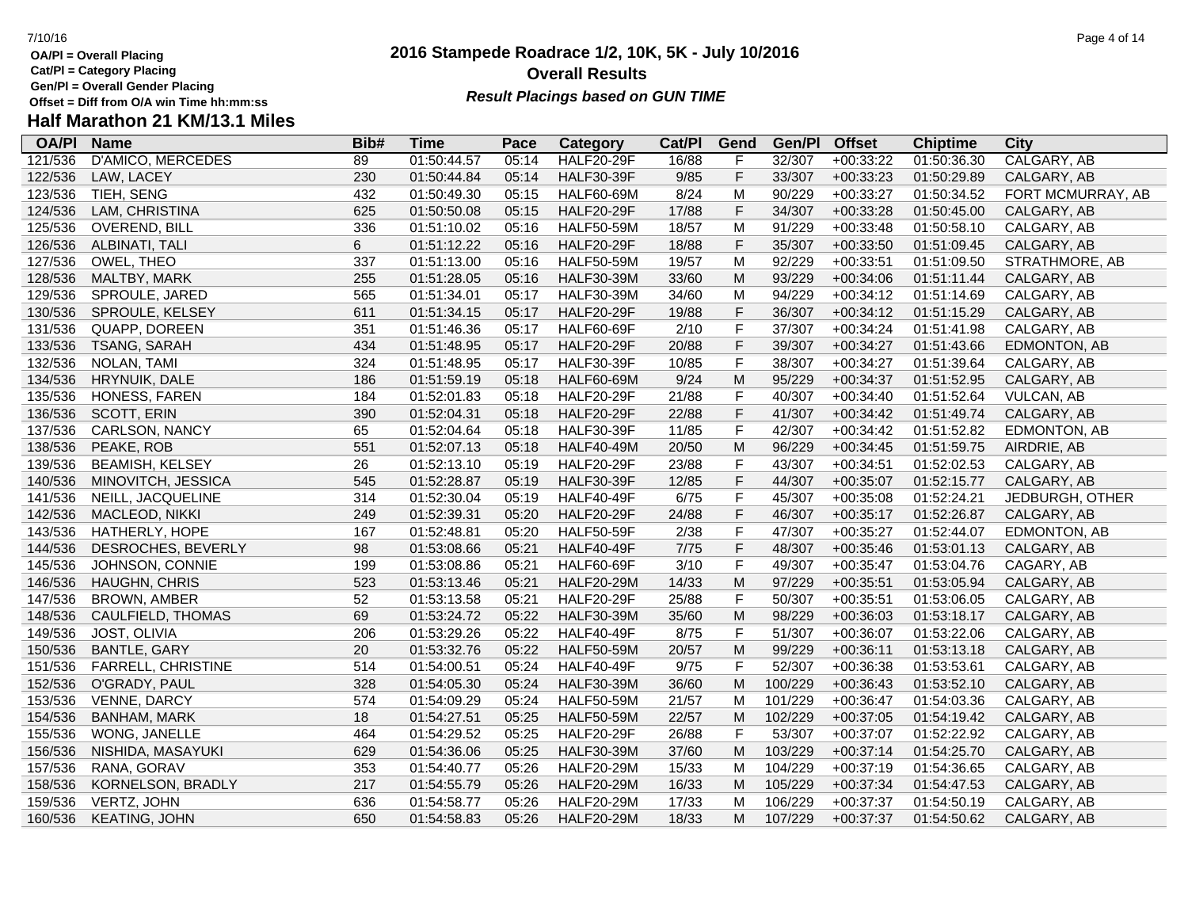**Gen/Pl = Overall Gender Placing**

### **2016 Stampede Roadrace 1/2, 10K, 5K - July 10/2016** 7/10/16 Page 4 of 14 **Overall Results Result Placings based on GUN TIME**

| <b>OA/PI</b> | <b>Name</b>               | Bib# | <b>Time</b> | Pace  | Category          | Cat/PI | Gend                                                                                                       | Gen/Pl  | <b>Offset</b> | <b>Chiptime</b> | City              |
|--------------|---------------------------|------|-------------|-------|-------------------|--------|------------------------------------------------------------------------------------------------------------|---------|---------------|-----------------|-------------------|
| 121/536      | <b>D'AMICO, MERCEDES</b>  | 89   | 01:50:44.57 | 05:14 | <b>HALF20-29F</b> | 16/88  | F                                                                                                          | 32/307  | $+00:33:22$   | 01:50:36.30     | CALGARY, AB       |
| 122/536      | LAW, LACEY                | 230  | 01:50:44.84 | 05:14 | <b>HALF30-39F</b> | 9/85   | F                                                                                                          | 33/307  | $+00:33:23$   | 01:50:29.89     | CALGARY, AB       |
| 123/536      | TIEH, SENG                | 432  | 01:50:49.30 | 05:15 | <b>HALF60-69M</b> | 8/24   | M                                                                                                          | 90/229  | $+00:33:27$   | 01:50:34.52     | FORT MCMURRAY, AB |
| 124/536      | LAM, CHRISTINA            | 625  | 01:50:50.08 | 05:15 | <b>HALF20-29F</b> | 17/88  | F                                                                                                          | 34/307  | $+00:33:28$   | 01:50:45.00     | CALGARY, AB       |
| 125/536      | <b>OVEREND, BILL</b>      | 336  | 01:51:10.02 | 05:16 | <b>HALF50-59M</b> | 18/57  | M                                                                                                          | 91/229  | $+00:33:48$   | 01:50:58.10     | CALGARY, AB       |
| 126/536      | ALBINATI, TALI            | 6    | 01:51:12.22 | 05:16 | <b>HALF20-29F</b> | 18/88  | F                                                                                                          | 35/307  | $+00:33:50$   | 01:51:09.45     | CALGARY, AB       |
| 127/536      | OWEL, THEO                | 337  | 01:51:13.00 | 05:16 | <b>HALF50-59M</b> | 19/57  | M                                                                                                          | 92/229  | $+00:33:51$   | 01:51:09.50     | STRATHMORE, AB    |
| 128/536      | MALTBY, MARK              | 255  | 01:51:28.05 | 05:16 | <b>HALF30-39M</b> | 33/60  | $\mathsf{M}% _{T}=\mathsf{M}_{T}\!\left( a,b\right) ,\ \mathsf{M}_{T}=\mathsf{M}_{T}$                      | 93/229  | $+00:34:06$   | 01:51:11.44     | CALGARY, AB       |
| 129/536      | SPROULE, JARED            | 565  | 01:51:34.01 | 05:17 | <b>HALF30-39M</b> | 34/60  | M                                                                                                          | 94/229  | $+00:34:12$   | 01:51:14.69     | CALGARY, AB       |
| 130/536      | SPROULE, KELSEY           | 611  | 01:51:34.15 | 05:17 | <b>HALF20-29F</b> | 19/88  | F                                                                                                          | 36/307  | $+00:34:12$   | 01:51:15.29     | CALGARY, AB       |
| 131/536      | QUAPP, DOREEN             | 351  | 01:51:46.36 | 05:17 | <b>HALF60-69F</b> | 2/10   | F                                                                                                          | 37/307  | $+00:34:24$   | 01:51:41.98     | CALGARY, AB       |
| 133/536      | TSANG, SARAH              | 434  | 01:51:48.95 | 05:17 | <b>HALF20-29F</b> | 20/88  | F                                                                                                          | 39/307  | $+00:34:27$   | 01:51:43.66     | EDMONTON, AB      |
| 132/536      | NOLAN, TAMI               | 324  | 01:51:48.95 | 05:17 | <b>HALF30-39F</b> | 10/85  | F                                                                                                          | 38/307  | $+00:34:27$   | 01:51:39.64     | CALGARY, AB       |
| 134/536      | HRYNUIK, DALE             | 186  | 01:51:59.19 | 05:18 | <b>HALF60-69M</b> | 9/24   | M                                                                                                          | 95/229  | $+00:34:37$   | 01:51:52.95     | CALGARY, AB       |
| 135/536      | HONESS, FAREN             | 184  | 01:52:01.83 | 05:18 | <b>HALF20-29F</b> | 21/88  | F                                                                                                          | 40/307  | $+00:34:40$   | 01:51:52.64     | <b>VULCAN, AB</b> |
| 136/536      | <b>SCOTT, ERIN</b>        | 390  | 01:52:04.31 | 05:18 | <b>HALF20-29F</b> | 22/88  | F                                                                                                          | 41/307  | $+00:34:42$   | 01:51:49.74     | CALGARY, AB       |
| 137/536      | CARLSON, NANCY            | 65   | 01:52:04.64 | 05:18 | <b>HALF30-39F</b> | 11/85  | F                                                                                                          | 42/307  | $+00:34:42$   | 01:51:52.82     | EDMONTON, AB      |
| 138/536      | PEAKE, ROB                | 551  | 01:52:07.13 | 05:18 | <b>HALF40-49M</b> | 20/50  | $\mathsf{M}% _{T}=\mathsf{M}_{T}\!\left( a,b\right) ,\ \mathsf{M}_{T}=\mathsf{M}_{T}$                      | 96/229  | $+00:34:45$   | 01:51:59.75     | AIRDRIE, AB       |
| 139/536      | <b>BEAMISH, KELSEY</b>    | 26   | 01:52:13.10 | 05:19 | <b>HALF20-29F</b> | 23/88  | F                                                                                                          | 43/307  | $+00:34:51$   | 01:52:02.53     | CALGARY, AB       |
| 140/536      | MINOVITCH, JESSICA        | 545  | 01:52:28.87 | 05:19 | <b>HALF30-39F</b> | 12/85  | F                                                                                                          | 44/307  | $+00:35:07$   | 01:52:15.77     | CALGARY, AB       |
| 141/536      | NEILL, JACQUELINE         | 314  | 01:52:30.04 | 05:19 | <b>HALF40-49F</b> | 6/75   | F                                                                                                          | 45/307  | $+00:35:08$   | 01:52:24.21     | JEDBURGH, OTHER   |
| 142/536      | MACLEOD, NIKKI            | 249  | 01:52:39.31 | 05:20 | <b>HALF20-29F</b> | 24/88  | F                                                                                                          | 46/307  | $+00:35:17$   | 01:52:26.87     | CALGARY, AB       |
| 143/536      | HATHERLY, HOPE            | 167  | 01:52:48.81 | 05:20 | <b>HALF50-59F</b> | 2/38   | F                                                                                                          | 47/307  | $+00:35:27$   | 01:52:44.07     | EDMONTON, AB      |
| 144/536      | DESROCHES, BEVERLY        | 98   | 01:53:08.66 | 05:21 | <b>HALF40-49F</b> | 7/75   | F                                                                                                          | 48/307  | $+00:35:46$   | 01:53:01.13     | CALGARY, AB       |
| 145/536      | JOHNSON, CONNIE           | 199  | 01:53:08.86 | 05:21 | <b>HALF60-69F</b> | 3/10   | F                                                                                                          | 49/307  | $+00:35:47$   | 01:53:04.76     | CAGARY, AB        |
| 146/536      | HAUGHN, CHRIS             | 523  | 01:53:13.46 | 05:21 | <b>HALF20-29M</b> | 14/33  | $\mathsf{M}% _{T}=\mathsf{M}_{T}\!\left( a,b\right) ,\ \mathsf{M}_{T}=\mathsf{M}_{T}\!\left( a,b\right) ,$ | 97/229  | $+00:35:51$   | 01:53:05.94     | CALGARY, AB       |
| 147/536      | <b>BROWN, AMBER</b>       | 52   | 01:53:13.58 | 05:21 | <b>HALF20-29F</b> | 25/88  | F                                                                                                          | 50/307  | $+00:35:51$   | 01:53:06.05     | CALGARY, AB       |
| 148/536      | CAULFIELD, THOMAS         | 69   | 01:53:24.72 | 05:22 | <b>HALF30-39M</b> | 35/60  | ${\sf M}$                                                                                                  | 98/229  | $+00:36:03$   | 01:53:18.17     | CALGARY, AB       |
| 149/536      | JOST, OLIVIA              | 206  | 01:53:29.26 | 05:22 | <b>HALF40-49F</b> | 8/75   | F                                                                                                          | 51/307  | +00:36:07     | 01:53:22.06     | CALGARY, AB       |
| 150/536      | <b>BANTLE, GARY</b>       | 20   | 01:53:32.76 | 05:22 | <b>HALF50-59M</b> | 20/57  | M                                                                                                          | 99/229  | $+00:36:11$   | 01:53:13.18     | CALGARY, AB       |
| 151/536      | <b>FARRELL, CHRISTINE</b> | 514  | 01:54:00.51 | 05:24 | <b>HALF40-49F</b> | 9/75   | F                                                                                                          | 52/307  | $+00:36:38$   | 01:53:53.61     | CALGARY, AB       |
| 152/536      | O'GRADY, PAUL             | 328  | 01:54:05.30 | 05:24 | HALF30-39M        | 36/60  | M                                                                                                          | 100/229 | $+00:36:43$   | 01:53:52.10     | CALGARY, AB       |
| 153/536      | VENNE, DARCY              | 574  | 01:54:09.29 | 05:24 | <b>HALF50-59M</b> | 21/57  | M                                                                                                          | 101/229 | $+00:36:47$   | 01:54:03.36     | CALGARY, AB       |
| 154/536      | <b>BANHAM, MARK</b>       | 18   | 01:54:27.51 | 05:25 | <b>HALF50-59M</b> | 22/57  | M                                                                                                          | 102/229 | $+00:37:05$   | 01:54:19.42     | CALGARY, AB       |
| 155/536      | WONG, JANELLE             | 464  | 01:54:29.52 | 05:25 | <b>HALF20-29F</b> | 26/88  | F                                                                                                          | 53/307  | $+00:37:07$   | 01:52:22.92     | CALGARY, AB       |
| 156/536      | NISHIDA, MASAYUKI         | 629  | 01:54:36.06 | 05:25 | <b>HALF30-39M</b> | 37/60  | M                                                                                                          | 103/229 | $+00:37:14$   | 01:54:25.70     | CALGARY, AB       |
| 157/536      | RANA, GORAV               | 353  | 01:54:40.77 | 05:26 | <b>HALF20-29M</b> | 15/33  | M                                                                                                          | 104/229 | $+00:37:19$   | 01:54:36.65     | CALGARY, AB       |
| 158/536      | KORNELSON, BRADLY         | 217  | 01:54:55.79 | 05:26 | <b>HALF20-29M</b> | 16/33  | M                                                                                                          | 105/229 | $+00:37:34$   | 01:54:47.53     | CALGARY, AB       |
| 159/536      | VERTZ, JOHN               | 636  | 01:54:58.77 | 05:26 | <b>HALF20-29M</b> | 17/33  | M                                                                                                          | 106/229 | $+00:37:37$   | 01:54:50.19     | CALGARY, AB       |
| 160/536      | <b>KEATING, JOHN</b>      | 650  | 01:54:58.83 | 05:26 | <b>HALF20-29M</b> | 18/33  | M                                                                                                          | 107/229 | $+00:37:37$   | 01:54:50.62     | CALGARY, AB       |
|              |                           |      |             |       |                   |        |                                                                                                            |         |               |                 |                   |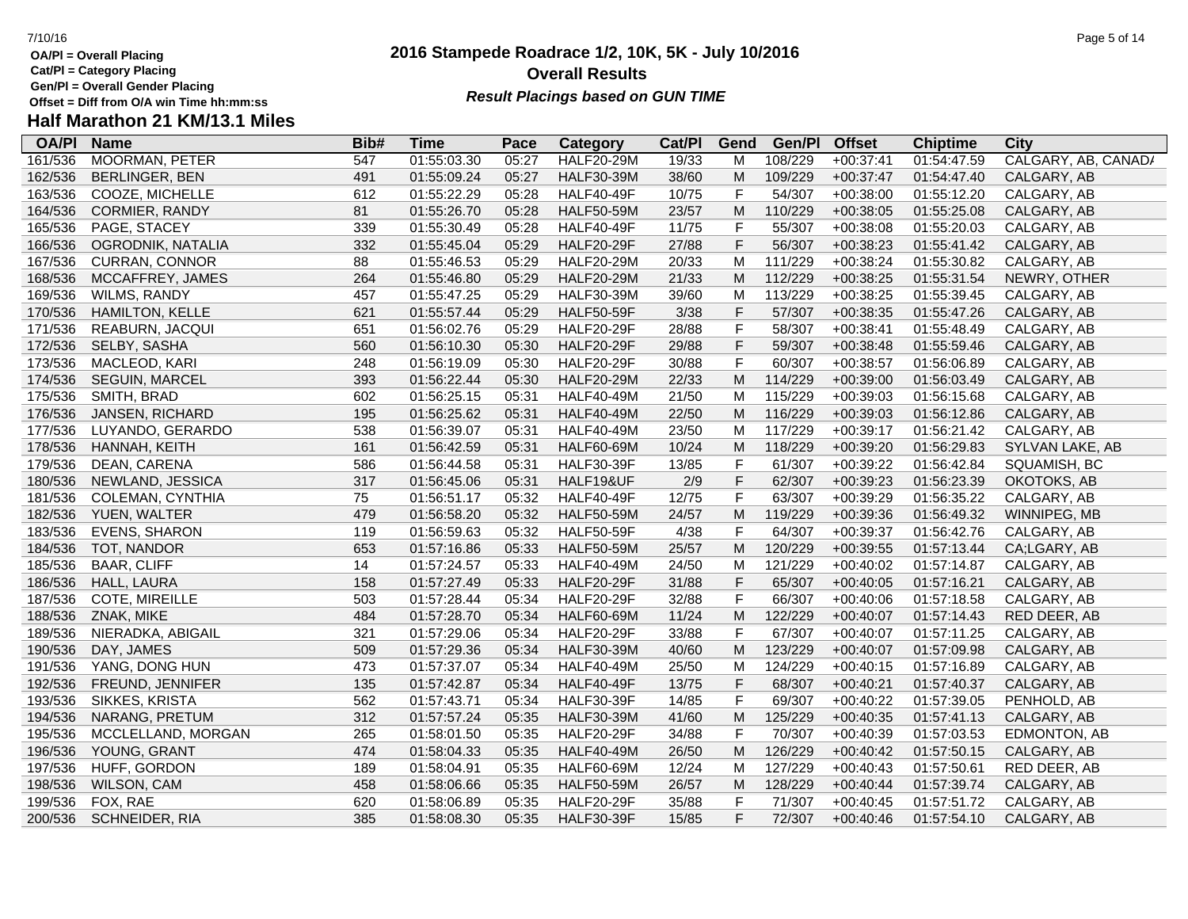**Gen/Pl = Overall Gender Placing**

# **Half Marathon 21 KM/13.1 Miles**

| <b>OA/PI</b> | <b>Name</b>           | Bib# | <b>Time</b> | Pace  | <b>Category</b>   | Cat/PI | Gend        | Gen/Pl  | <b>Offset</b> | <b>Chiptime</b> | <b>City</b>         |
|--------------|-----------------------|------|-------------|-------|-------------------|--------|-------------|---------|---------------|-----------------|---------------------|
| 161/536      | <b>MOORMAN, PETER</b> | 547  | 01:55:03.30 | 05:27 | <b>HALF20-29M</b> | 19/33  | м           | 108/229 | $+00:37:41$   | 01:54:47.59     | CALGARY, AB, CANAD/ |
| 162/536      | BERLINGER, BEN        | 491  | 01:55:09.24 | 05:27 | <b>HALF30-39M</b> | 38/60  | M           | 109/229 | $+00:37:47$   | 01:54:47.40     | CALGARY, AB         |
| 163/536      | COOZE, MICHELLE       | 612  | 01:55:22.29 | 05:28 | <b>HALF40-49F</b> | 10/75  | F           | 54/307  | $+00:38:00$   | 01:55:12.20     | CALGARY, AB         |
| 164/536      | CORMIER, RANDY        | 81   | 01:55:26.70 | 05:28 | <b>HALF50-59M</b> | 23/57  | M           | 110/229 | $+00:38:05$   | 01:55:25.08     | CALGARY, AB         |
| 165/536      | PAGE, STACEY          | 339  | 01:55:30.49 | 05:28 | <b>HALF40-49F</b> | 11/75  | F           | 55/307  | $+00:38:08$   | 01:55:20.03     | CALGARY, AB         |
| 166/536      | OGRODNIK, NATALIA     | 332  | 01:55:45.04 | 05:29 | <b>HALF20-29F</b> | 27/88  | F           | 56/307  | $+00:38:23$   | 01:55:41.42     | CALGARY, AB         |
| 167/536      | <b>CURRAN, CONNOR</b> | 88   | 01:55:46.53 | 05:29 | <b>HALF20-29M</b> | 20/33  | M           | 111/229 | $+00:38:24$   | 01:55:30.82     | CALGARY, AB         |
| 168/536      | MCCAFFREY, JAMES      | 264  | 01:55:46.80 | 05:29 | <b>HALF20-29M</b> | 21/33  | M           | 112/229 | $+00:38:25$   | 01:55:31.54     | NEWRY, OTHER        |
| 169/536      | WILMS, RANDY          | 457  | 01:55:47.25 | 05:29 | <b>HALF30-39M</b> | 39/60  | M           | 113/229 | $+00:38:25$   | 01:55:39.45     | CALGARY, AB         |
| 170/536      | HAMILTON, KELLE       | 621  | 01:55:57.44 | 05:29 | <b>HALF50-59F</b> | 3/38   | F           | 57/307  | $+00:38:35$   | 01:55:47.26     | CALGARY, AB         |
| 171/536      | REABURN, JACQUI       | 651  | 01:56:02.76 | 05:29 | <b>HALF20-29F</b> | 28/88  | F           | 58/307  | $+00:38:41$   | 01:55:48.49     | CALGARY, AB         |
| 172/536      | SELBY, SASHA          | 560  | 01:56:10.30 | 05:30 | <b>HALF20-29F</b> | 29/88  | F           | 59/307  | $+00:38:48$   | 01:55:59.46     | CALGARY, AB         |
| 173/536      | MACLEOD, KARI         | 248  | 01:56:19.09 | 05:30 | <b>HALF20-29F</b> | 30/88  | F           | 60/307  | $+00:38:57$   | 01:56:06.89     | CALGARY, AB         |
| 174/536      | SEGUIN, MARCEL        | 393  | 01:56:22.44 | 05:30 | <b>HALF20-29M</b> | 22/33  | M           | 114/229 | $+00:39:00$   | 01:56:03.49     | CALGARY, AB         |
| 175/536      | SMITH, BRAD           | 602  | 01:56:25.15 | 05:31 | <b>HALF40-49M</b> | 21/50  | M           | 115/229 | $+00:39:03$   | 01:56:15.68     | CALGARY, AB         |
| 176/536      | JANSEN, RICHARD       | 195  | 01:56:25.62 | 05:31 | <b>HALF40-49M</b> | 22/50  | M           | 116/229 | $+00:39:03$   | 01:56:12.86     | CALGARY, AB         |
| 177/536      | LUYANDO, GERARDO      | 538  | 01:56:39.07 | 05:31 | <b>HALF40-49M</b> | 23/50  | M           | 117/229 | $+00:39:17$   | 01:56:21.42     | CALGARY, AB         |
| 178/536      | HANNAH, KEITH         | 161  | 01:56:42.59 | 05:31 | <b>HALF60-69M</b> | 10/24  | M           | 118/229 | $+00:39:20$   | 01:56:29.83     | SYLVAN LAKE, AB     |
| 179/536      | DEAN, CARENA          | 586  | 01:56:44.58 | 05:31 | <b>HALF30-39F</b> | 13/85  | $\mathsf F$ | 61/307  | $+00:39:22$   | 01:56:42.84     | SQUAMISH, BC        |
| 180/536      | NEWLAND, JESSICA      | 317  | 01:56:45.06 | 05:31 | HALF19&UF         | 2/9    | F           | 62/307  | $+00:39:23$   | 01:56:23.39     | OKOTOKS, AB         |
| 181/536      | COLEMAN, CYNTHIA      | 75   | 01:56:51.17 | 05:32 | <b>HALF40-49F</b> | 12/75  | F           | 63/307  | +00:39:29     | 01:56:35.22     | CALGARY, AB         |
| 182/536      | YUEN, WALTER          | 479  | 01:56:58.20 | 05:32 | <b>HALF50-59M</b> | 24/57  | M           | 119/229 | $+00:39:36$   | 01:56:49.32     | WINNIPEG, MB        |
| 183/536      | <b>EVENS, SHARON</b>  | 119  | 01:56:59.63 | 05:32 | <b>HALF50-59F</b> | 4/38   | $\mathsf F$ | 64/307  | $+00:39:37$   | 01:56:42.76     | CALGARY, AB         |
| 184/536      | TOT, NANDOR           | 653  | 01:57:16.86 | 05:33 | <b>HALF50-59M</b> | 25/57  | M           | 120/229 | $+00:39:55$   | 01:57:13.44     | CA;LGARY, AB        |
| 185/536      | <b>BAAR, CLIFF</b>    | 14   | 01:57:24.57 | 05:33 | <b>HALF40-49M</b> | 24/50  | M           | 121/229 | $+00:40:02$   | 01:57:14.87     | CALGARY, AB         |
| 186/536      | <b>HALL, LAURA</b>    | 158  | 01:57:27.49 | 05:33 | <b>HALF20-29F</b> | 31/88  | F           | 65/307  | $+00:40:05$   | 01:57:16.21     | CALGARY, AB         |
| 187/536      | COTE, MIREILLE        | 503  | 01:57:28.44 | 05:34 | <b>HALF20-29F</b> | 32/88  | F           | 66/307  | $+00:40:06$   | 01:57:18.58     | CALGARY, AB         |
| 188/536      | ZNAK, MIKE            | 484  | 01:57:28.70 | 05:34 | <b>HALF60-69M</b> | 11/24  | ${\sf M}$   | 122/229 | $+00:40:07$   | 01:57:14.43     | RED DEER, AB        |
| 189/536      | NIERADKA, ABIGAIL     | 321  | 01:57:29.06 | 05:34 | <b>HALF20-29F</b> | 33/88  | F           | 67/307  | $+00:40:07$   | 01:57:11.25     | CALGARY, AB         |
| 190/536      | DAY, JAMES            | 509  | 01:57:29.36 | 05:34 | <b>HALF30-39M</b> | 40/60  | M           | 123/229 | $+00:40:07$   | 01:57:09.98     | CALGARY, AB         |
| 191/536      | YANG, DONG HUN        | 473  | 01:57:37.07 | 05:34 | <b>HALF40-49M</b> | 25/50  | M           | 124/229 | $+00:40:15$   | 01:57:16.89     | CALGARY, AB         |
| 192/536      | FREUND, JENNIFER      | 135  | 01:57:42.87 | 05:34 | <b>HALF40-49F</b> | 13/75  | F           | 68/307  | $+00:40:21$   | 01:57:40.37     | CALGARY, AB         |
| 193/536      | <b>SIKKES, KRISTA</b> | 562  | 01:57:43.71 | 05:34 | <b>HALF30-39F</b> | 14/85  | $\mathsf F$ | 69/307  | $+00:40:22$   | 01:57:39.05     | PENHOLD, AB         |
| 194/536      | NARANG, PRETUM        | 312  | 01:57:57.24 | 05:35 | <b>HALF30-39M</b> | 41/60  | ${\sf M}$   | 125/229 | $+00:40:35$   | 01:57:41.13     | CALGARY, AB         |
| 195/536      | MCCLELLAND, MORGAN    | 265  | 01:58:01.50 | 05:35 | <b>HALF20-29F</b> | 34/88  | F           | 70/307  | $+00:40:39$   | 01:57:03.53     | EDMONTON, AB        |
| 196/536      | YOUNG, GRANT          | 474  | 01:58:04.33 | 05:35 | <b>HALF40-49M</b> | 26/50  | M           | 126/229 | $+00:40:42$   | 01:57:50.15     | CALGARY, AB         |
| 197/536      | HUFF, GORDON          | 189  | 01:58:04.91 | 05:35 | <b>HALF60-69M</b> | 12/24  | M           | 127/229 | $+00:40:43$   | 01:57:50.61     | RED DEER, AB        |
| 198/536      | WILSON, CAM           | 458  | 01:58:06.66 | 05:35 | <b>HALF50-59M</b> | 26/57  | M           | 128/229 | $+00:40:44$   | 01:57:39.74     | CALGARY, AB         |
| 199/536      | FOX, RAE              | 620  | 01:58:06.89 | 05:35 | <b>HALF20-29F</b> | 35/88  | F           | 71/307  | $+00:40:45$   | 01:57:51.72     | CALGARY, AB         |
| 200/536      | SCHNEIDER, RIA        | 385  | 01:58:08.30 | 05:35 | <b>HALF30-39F</b> | 15/85  | F           | 72/307  | $+00:40:46$   | 01:57:54.10     | CALGARY, AB         |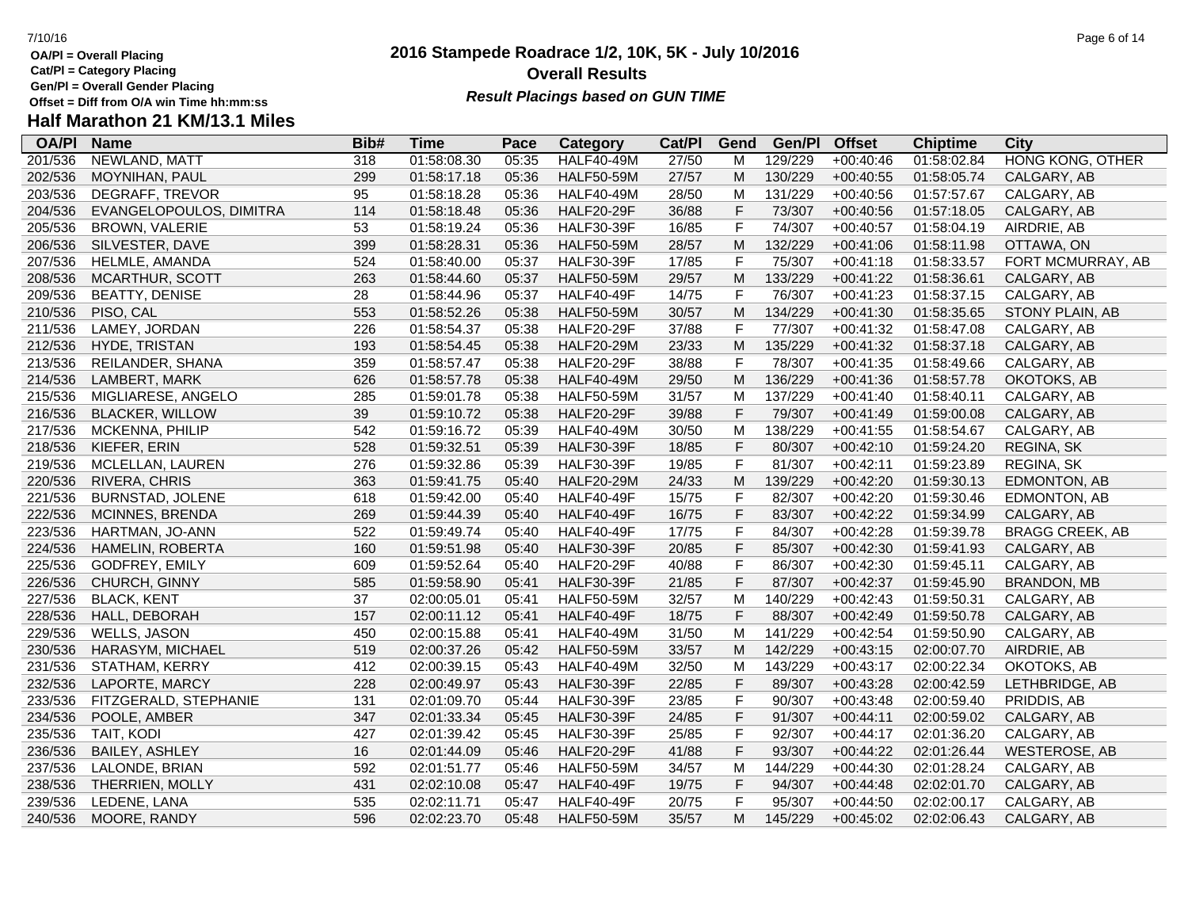**Gen/Pl = Overall Gender Placing**

# **Half Marathon 21 KM/13.1 Miles**

| <b>OA/PI</b> | <b>Name</b>             | Bib# | <b>Time</b> | Pace  | Category          | Cat/PI | Gend        | Gen/Pl  | <b>Offset</b> | <b>Chiptime</b> | City                    |
|--------------|-------------------------|------|-------------|-------|-------------------|--------|-------------|---------|---------------|-----------------|-------------------------|
| 201/536      | NEWLAND, MATT           | 318  | 01:58:08.30 | 05:35 | <b>HALF40-49M</b> | 27/50  | M           | 129/229 | $+00:40:46$   | 01:58:02.84     | <b>HONG KONG, OTHER</b> |
| 202/536      | <b>MOYNIHAN, PAUL</b>   | 299  | 01:58:17.18 | 05:36 | <b>HALF50-59M</b> | 27/57  | M           | 130/229 | $+00:40:55$   | 01:58:05.74     | CALGARY, AB             |
| 203/536      | DEGRAFF, TREVOR         | 95   | 01:58:18.28 | 05:36 | <b>HALF40-49M</b> | 28/50  | M           | 131/229 | $+00:40:56$   | 01:57:57.67     | CALGARY, AB             |
| 204/536      | EVANGELOPOULOS, DIMITRA | 114  | 01:58:18.48 | 05:36 | <b>HALF20-29F</b> | 36/88  | $\mathsf F$ | 73/307  | $+00:40:56$   | 01:57:18.05     | CALGARY, AB             |
| 205/536      | BROWN, VALERIE          | 53   | 01:58:19.24 | 05:36 | <b>HALF30-39F</b> | 16/85  | $\mathsf F$ | 74/307  | $+00:40:57$   | 01:58:04.19     | AIRDRIE, AB             |
| 206/536      | SILVESTER, DAVE         | 399  | 01:58:28.31 | 05:36 | <b>HALF50-59M</b> | 28/57  | M           | 132/229 | $+00:41:06$   | 01:58:11.98     | OTTAWA, ON              |
| 207/536      | HELMLE, AMANDA          | 524  | 01:58:40.00 | 05:37 | <b>HALF30-39F</b> | 17/85  | $\mathsf F$ | 75/307  | $+00:41:18$   | 01:58:33.57     | FORT MCMURRAY, AB       |
| 208/536      | MCARTHUR, SCOTT         | 263  | 01:58:44.60 | 05:37 | <b>HALF50-59M</b> | 29/57  | M           | 133/229 | $+00:41:22$   | 01:58:36.61     | CALGARY, AB             |
| 209/536      | <b>BEATTY, DENISE</b>   | 28   | 01:58:44.96 | 05:37 | <b>HALF40-49F</b> | 14/75  | $\mathsf F$ | 76/307  | $+00:41:23$   | 01:58:37.15     | CALGARY, AB             |
| 210/536      | PISO, CAL               | 553  | 01:58:52.26 | 05:38 | <b>HALF50-59M</b> | 30/57  | M           | 134/229 | $+00:41:30$   | 01:58:35.65     | STONY PLAIN, AB         |
| 211/536      | LAMEY, JORDAN           | 226  | 01:58:54.37 | 05:38 | <b>HALF20-29F</b> | 37/88  | $\mathsf F$ | 77/307  | $+00:41:32$   | 01:58:47.08     | CALGARY, AB             |
| 212/536      | HYDE, TRISTAN           | 193  | 01:58:54.45 | 05:38 | <b>HALF20-29M</b> | 23/33  | M           | 135/229 | $+00:41:32$   | 01:58:37.18     | CALGARY, AB             |
| 213/536      | REILANDER, SHANA        | 359  | 01:58:57.47 | 05:38 | <b>HALF20-29F</b> | 38/88  | $\mathsf F$ | 78/307  | $+00:41:35$   | 01:58:49.66     | CALGARY, AB             |
| 214/536      | LAMBERT, MARK           | 626  | 01:58:57.78 | 05:38 | <b>HALF40-49M</b> | 29/50  | M           | 136/229 | $+00:41:36$   | 01:58:57.78     | OKOTOKS, AB             |
| 215/536      | MIGLIARESE, ANGELO      | 285  | 01:59:01.78 | 05:38 | <b>HALF50-59M</b> | 31/57  | M           | 137/229 | $+00:41:40$   | 01:58:40.11     | CALGARY, AB             |
| 216/536      | <b>BLACKER, WILLOW</b>  | 39   | 01:59:10.72 | 05:38 | <b>HALF20-29F</b> | 39/88  | $\mathsf F$ | 79/307  | $+00:41:49$   | 01:59:00.08     | CALGARY, AB             |
| 217/536      | MCKENNA, PHILIP         | 542  | 01:59:16.72 | 05:39 | <b>HALF40-49M</b> | 30/50  | M           | 138/229 | $+00:41:55$   | 01:58:54.67     | CALGARY, AB             |
| 218/536      | KIEFER, ERIN            | 528  | 01:59:32.51 | 05:39 | <b>HALF30-39F</b> | 18/85  | $\mathsf F$ | 80/307  | $+00:42:10$   | 01:59:24.20     | REGINA, SK              |
| 219/536      | MCLELLAN, LAUREN        | 276  | 01:59:32.86 | 05:39 | <b>HALF30-39F</b> | 19/85  | $\mathsf F$ | 81/307  | $+00:42:11$   | 01:59:23.89     | REGINA, SK              |
| 220/536      | RIVERA, CHRIS           | 363  | 01:59:41.75 | 05:40 | <b>HALF20-29M</b> | 24/33  | M           | 139/229 | $+00:42:20$   | 01:59:30.13     | EDMONTON, AB            |
| 221/536      | <b>BURNSTAD, JOLENE</b> | 618  | 01:59:42.00 | 05:40 | <b>HALF40-49F</b> | 15/75  | $\mathsf F$ | 82/307  | $+00:42:20$   | 01:59:30.46     | EDMONTON, AB            |
| 222/536      | <b>MCINNES, BRENDA</b>  | 269  | 01:59:44.39 | 05:40 | <b>HALF40-49F</b> | 16/75  | $\mathsf F$ | 83/307  | $+00:42:22$   | 01:59:34.99     | CALGARY, AB             |
| 223/536      | HARTMAN, JO-ANN         | 522  | 01:59:49.74 | 05:40 | <b>HALF40-49F</b> | 17/75  | $\mathsf F$ | 84/307  | $+00:42:28$   | 01:59:39.78     | <b>BRAGG CREEK, AB</b>  |
| 224/536      | HAMELIN, ROBERTA        | 160  | 01:59:51.98 | 05:40 | <b>HALF30-39F</b> | 20/85  | $\mathsf F$ | 85/307  | $+00:42:30$   | 01:59:41.93     | CALGARY, AB             |
| 225/536      | GODFREY, EMILY          | 609  | 01:59:52.64 | 05:40 | <b>HALF20-29F</b> | 40/88  | $\mathsf F$ | 86/307  | $+00:42:30$   | 01:59:45.11     | CALGARY, AB             |
| 226/536      | CHURCH, GINNY           | 585  | 01:59:58.90 | 05:41 | <b>HALF30-39F</b> | 21/85  | $\mathsf F$ | 87/307  | $+00:42:37$   | 01:59:45.90     | <b>BRANDON, MB</b>      |
| 227/536      | <b>BLACK, KENT</b>      | 37   | 02:00:05.01 | 05:41 | <b>HALF50-59M</b> | 32/57  | M           | 140/229 | $+00:42:43$   | 01:59:50.31     | CALGARY, AB             |
| 228/536      | HALL, DEBORAH           | 157  | 02:00:11.12 | 05:41 | <b>HALF40-49F</b> | 18/75  | $\mathsf F$ | 88/307  | $+00:42:49$   | 01:59:50.78     | CALGARY, AB             |
| 229/536      | <b>WELLS, JASON</b>     | 450  | 02:00:15.88 | 05:41 | <b>HALF40-49M</b> | 31/50  | M           | 141/229 | $+00:42:54$   | 01:59:50.90     | CALGARY, AB             |
| 230/536      | HARASYM, MICHAEL        | 519  | 02:00:37.26 | 05:42 | <b>HALF50-59M</b> | 33/57  | M           | 142/229 | $+00:43:15$   | 02:00:07.70     | AIRDRIE, AB             |
| 231/536      | STATHAM, KERRY          | 412  | 02:00:39.15 | 05:43 | <b>HALF40-49M</b> | 32/50  | M           | 143/229 | $+00:43:17$   | 02:00:22.34     | OKOTOKS, AB             |
| 232/536      | LAPORTE, MARCY          | 228  | 02:00:49.97 | 05:43 | <b>HALF30-39F</b> | 22/85  | $\mathsf F$ | 89/307  | $+00:43:28$   | 02:00:42.59     | LETHBRIDGE, AB          |
| 233/536      | FITZGERALD, STEPHANIE   | 131  | 02:01:09.70 | 05:44 | <b>HALF30-39F</b> | 23/85  | $\mathsf F$ | 90/307  | $+00:43:48$   | 02:00:59.40     | PRIDDIS, AB             |
| 234/536      | POOLE, AMBER            | 347  | 02:01:33.34 | 05:45 | <b>HALF30-39F</b> | 24/85  | $\mathsf F$ | 91/307  | $+00:44:11$   | 02:00:59.02     | CALGARY, AB             |
| 235/536      | TAIT, KODI              | 427  | 02:01:39.42 | 05:45 | <b>HALF30-39F</b> | 25/85  | $\mathsf F$ | 92/307  | $+00:44:17$   | 02:01:36.20     | CALGARY, AB             |
| 236/536      | <b>BAILEY, ASHLEY</b>   | 16   | 02:01:44.09 | 05:46 | <b>HALF20-29F</b> | 41/88  | $\mathsf F$ | 93/307  | $+00:44:22$   | 02:01:26.44     | <b>WESTEROSE, AB</b>    |
| 237/536      | LALONDE, BRIAN          | 592  | 02:01:51.77 | 05:46 | <b>HALF50-59M</b> | 34/57  | M           | 144/229 | $+00:44:30$   | 02:01:28.24     | CALGARY, AB             |
| 238/536      | THERRIEN, MOLLY         | 431  | 02:02:10.08 | 05:47 | <b>HALF40-49F</b> | 19/75  | $\mathsf F$ | 94/307  | $+00:44:48$   | 02:02:01.70     | CALGARY, AB             |
| 239/536      | LEDENE, LANA            | 535  | 02:02:11.71 | 05:47 | <b>HALF40-49F</b> | 20/75  | $\mathsf F$ | 95/307  | $+00:44:50$   | 02:02:00.17     | CALGARY, AB             |
| 240/536      | MOORE, RANDY            | 596  | 02:02:23.70 | 05:48 | <b>HALF50-59M</b> | 35/57  | M           | 145/229 | $+00:45:02$   | 02:02:06.43     | CALGARY, AB             |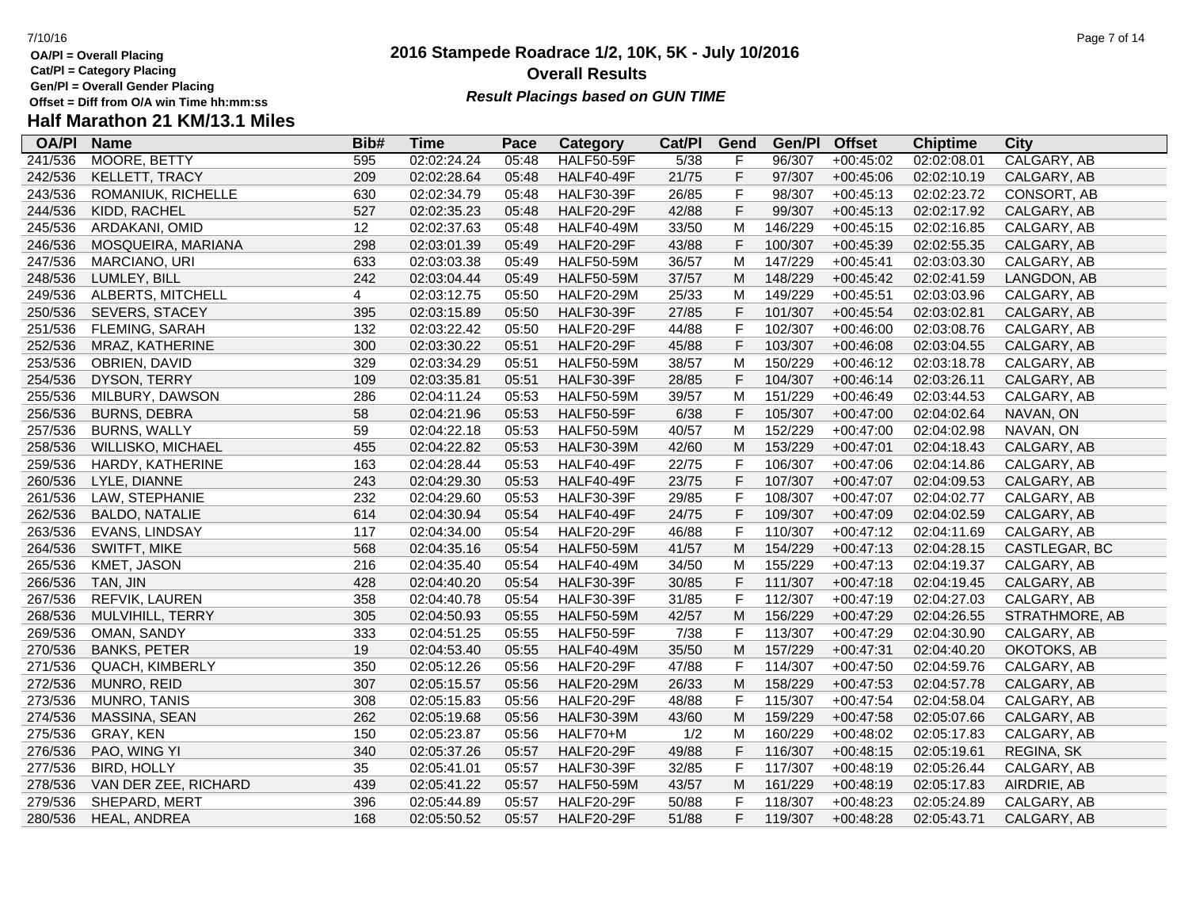**Gen/Pl = Overall Gender Placing**

# **Half Marathon 21 KM/13.1 Miles**

| <b>OA/PI</b> | <b>Name</b>           | Bib# | <b>Time</b> | Pace  | <b>Category</b>   | Cat/PI | <b>Gend</b>  | Gen/Pl  | <b>Offset</b> | <b>Chiptime</b> | <b>City</b>    |
|--------------|-----------------------|------|-------------|-------|-------------------|--------|--------------|---------|---------------|-----------------|----------------|
| 241/536      | MOORE, BETTY          | 595  | 02:02:24.24 | 05:48 | <b>HALF50-59F</b> | 5/38   | F            | 96/307  | $+00:45:02$   | 02:02:08.01     | CALGARY, AB    |
| 242/536      | KELLETT, TRACY        | 209  | 02:02:28.64 | 05:48 | <b>HALF40-49F</b> | 21/75  | $\mathsf F$  | 97/307  | $+00:45:06$   | 02:02:10.19     | CALGARY, AB    |
| 243/536      | ROMANIUK, RICHELLE    | 630  | 02:02:34.79 | 05:48 | <b>HALF30-39F</b> | 26/85  | $\mathsf F$  | 98/307  | $+00:45:13$   | 02:02:23.72     | CONSORT, AB    |
| 244/536      | KIDD, RACHEL          | 527  | 02:02:35.23 | 05:48 | <b>HALF20-29F</b> | 42/88  | $\mathsf F$  | 99/307  | $+00:45:13$   | 02:02:17.92     | CALGARY, AB    |
| 245/536      | ARDAKANI, OMID        | 12   | 02:02:37.63 | 05:48 | <b>HALF40-49M</b> | 33/50  | M            | 146/229 | $+00:45:15$   | 02:02:16.85     | CALGARY, AB    |
| 246/536      | MOSQUEIRA, MARIANA    | 298  | 02:03:01.39 | 05:49 | <b>HALF20-29F</b> | 43/88  | $\mathsf F$  | 100/307 | $+00:45:39$   | 02:02:55.35     | CALGARY, AB    |
| 247/536      | MARCIANO, URI         | 633  | 02:03:03.38 | 05:49 | <b>HALF50-59M</b> | 36/57  | M            | 147/229 | $+00:45:41$   | 02:03:03.30     | CALGARY, AB    |
| 248/536      | LUMLEY, BILL          | 242  | 02:03:04.44 | 05:49 | <b>HALF50-59M</b> | 37/57  | M            | 148/229 | $+00:45:42$   | 02:02:41.59     | LANGDON, AB    |
| 249/536      | ALBERTS, MITCHELL     | 4    | 02:03:12.75 | 05:50 | <b>HALF20-29M</b> | 25/33  | M            | 149/229 | $+00:45:51$   | 02:03:03.96     | CALGARY, AB    |
| 250/536      | SEVERS, STACEY        | 395  | 02:03:15.89 | 05:50 | <b>HALF30-39F</b> | 27/85  | $\mathsf F$  | 101/307 | $+00:45:54$   | 02:03:02.81     | CALGARY, AB    |
| 251/536      | FLEMING, SARAH        | 132  | 02:03:22.42 | 05:50 | <b>HALF20-29F</b> | 44/88  | $\mathsf F$  | 102/307 | $+00:46:00$   | 02:03:08.76     | CALGARY, AB    |
| 252/536      | MRAZ, KATHERINE       | 300  | 02:03:30.22 | 05:51 | <b>HALF20-29F</b> | 45/88  | $\mathsf{F}$ | 103/307 | $+00:46:08$   | 02:03:04.55     | CALGARY, AB    |
| 253/536      | OBRIEN, DAVID         | 329  | 02:03:34.29 | 05:51 | <b>HALF50-59M</b> | 38/57  | M            | 150/229 | $+00:46:12$   | 02:03:18.78     | CALGARY, AB    |
| 254/536      | DYSON, TERRY          | 109  | 02:03:35.81 | 05:51 | <b>HALF30-39F</b> | 28/85  | $\mathsf{F}$ | 104/307 | $+00:46:14$   | 02:03:26.11     | CALGARY, AB    |
| 255/536      | MILBURY, DAWSON       | 286  | 02:04:11.24 | 05:53 | <b>HALF50-59M</b> | 39/57  | M            | 151/229 | $+00:46:49$   | 02:03:44.53     | CALGARY, AB    |
| 256/536      | <b>BURNS, DEBRA</b>   | 58   | 02:04:21.96 | 05:53 | <b>HALF50-59F</b> | 6/38   | $\mathsf F$  | 105/307 | $+00:47:00$   | 02:04:02.64     | NAVAN, ON      |
| 257/536      | <b>BURNS, WALLY</b>   | 59   | 02:04:22.18 | 05:53 | <b>HALF50-59M</b> | 40/57  | M            | 152/229 | $+00:47:00$   | 02:04:02.98     | NAVAN, ON      |
| 258/536      | WILLISKO, MICHAEL     | 455  | 02:04:22.82 | 05:53 | <b>HALF30-39M</b> | 42/60  | M            | 153/229 | $+00:47:01$   | 02:04:18.43     | CALGARY, AB    |
| 259/536      | HARDY, KATHERINE      | 163  | 02:04:28.44 | 05:53 | HALF40-49F        | 22/75  | $\mathsf F$  | 106/307 | $+00:47:06$   | 02:04:14.86     | CALGARY, AB    |
| 260/536      | LYLE, DIANNE          | 243  | 02:04:29.30 | 05:53 | <b>HALF40-49F</b> | 23/75  | $\mathsf F$  | 107/307 | $+00:47:07$   | 02:04:09.53     | CALGARY, AB    |
| 261/536      | LAW, STEPHANIE        | 232  | 02:04:29.60 | 05:53 | <b>HALF30-39F</b> | 29/85  | $\mathsf{F}$ | 108/307 | $+00:47:07$   | 02:04:02.77     | CALGARY, AB    |
| 262/536      | <b>BALDO, NATALIE</b> | 614  | 02:04:30.94 | 05:54 | <b>HALF40-49F</b> | 24/75  | $\mathsf F$  | 109/307 | $+00:47:09$   | 02:04:02.59     | CALGARY, AB    |
| 263/536      | EVANS, LINDSAY        | 117  | 02:04:34.00 | 05:54 | <b>HALF20-29F</b> | 46/88  | $\mathsf{F}$ | 110/307 | $+00:47:12$   | 02:04:11.69     | CALGARY, AB    |
| 264/536      | SWITFT, MIKE          | 568  | 02:04:35.16 | 05:54 | <b>HALF50-59M</b> | 41/57  | M            | 154/229 | $+00:47:13$   | 02:04:28.15     | CASTLEGAR, BC  |
| 265/536      | KMET, JASON           | 216  | 02:04:35.40 | 05:54 | <b>HALF40-49M</b> | 34/50  | M            | 155/229 | $+00:47:13$   | 02:04:19.37     | CALGARY, AB    |
| 266/536      | TAN, JIN              | 428  | 02:04:40.20 | 05:54 | <b>HALF30-39F</b> | 30/85  | $\mathsf{F}$ | 111/307 | $+00:47:18$   | 02:04:19.45     | CALGARY, AB    |
| 267/536      | REFVIK, LAUREN        | 358  | 02:04:40.78 | 05:54 | <b>HALF30-39F</b> | 31/85  | $\mathsf F$  | 112/307 | $+00:47:19$   | 02:04:27.03     | CALGARY, AB    |
| 268/536      | MULVIHILL, TERRY      | 305  | 02:04:50.93 | 05:55 | <b>HALF50-59M</b> | 42/57  | M            | 156/229 | $+00:47:29$   | 02:04:26.55     | STRATHMORE, AB |
| 269/536      | OMAN, SANDY           | 333  | 02:04:51.25 | 05:55 | <b>HALF50-59F</b> | 7/38   | $\mathsf{F}$ | 113/307 | $+00:47:29$   | 02:04:30.90     | CALGARY, AB    |
| 270/536      | <b>BANKS, PETER</b>   | 19   | 02:04:53.40 | 05:55 | <b>HALF40-49M</b> | 35/50  | M            | 157/229 | $+00:47:31$   | 02:04:40.20     | OKOTOKS, AB    |
| 271/536      | QUACH, KIMBERLY       | 350  | 02:05:12.26 | 05:56 | <b>HALF20-29F</b> | 47/88  | $\mathsf F$  | 114/307 | $+00:47:50$   | 02:04:59.76     | CALGARY, AB    |
| 272/536      | MUNRO, REID           | 307  | 02:05:15.57 | 05:56 | <b>HALF20-29M</b> | 26/33  | M            | 158/229 | $+00:47:53$   | 02:04:57.78     | CALGARY, AB    |
| 273/536      | MUNRO, TANIS          | 308  | 02:05:15.83 | 05:56 | <b>HALF20-29F</b> | 48/88  | $\mathsf F$  | 115/307 | $+00:47:54$   | 02:04:58.04     | CALGARY, AB    |
| 274/536      | MASSINA, SEAN         | 262  | 02:05:19.68 | 05:56 | <b>HALF30-39M</b> | 43/60  | M            | 159/229 | $+00:47:58$   | 02:05:07.66     | CALGARY, AB    |
| 275/536      | GRAY, KEN             | 150  | 02:05:23.87 | 05:56 | HALF70+M          | 1/2    | M            | 160/229 | $+00:48:02$   | 02:05:17.83     | CALGARY, AB    |
| 276/536      | PAO, WING YI          | 340  | 02:05:37.26 | 05:57 | <b>HALF20-29F</b> | 49/88  | $\mathsf F$  | 116/307 | $+00:48:15$   | 02:05:19.61     | REGINA, SK     |
| 277/536      | <b>BIRD, HOLLY</b>    | 35   | 02:05:41.01 | 05:57 | <b>HALF30-39F</b> | 32/85  | $\mathsf{F}$ | 117/307 | $+00:48:19$   | 02:05:26.44     | CALGARY, AB    |
| 278/536      | VAN DER ZEE, RICHARD  | 439  | 02:05:41.22 | 05:57 | <b>HALF50-59M</b> | 43/57  | M            | 161/229 | $+00:48:19$   | 02:05:17.83     | AIRDRIE, AB    |
| 279/536      | SHEPARD, MERT         | 396  | 02:05:44.89 | 05:57 | <b>HALF20-29F</b> | 50/88  | $\mathsf{F}$ | 118/307 | $+00:48:23$   | 02:05:24.89     | CALGARY, AB    |
| 280/536      | HEAL, ANDREA          | 168  | 02:05:50.52 | 05:57 | <b>HALF20-29F</b> | 51/88  | F            | 119/307 | $+00:48:28$   | 02:05:43.71     | CALGARY, AB    |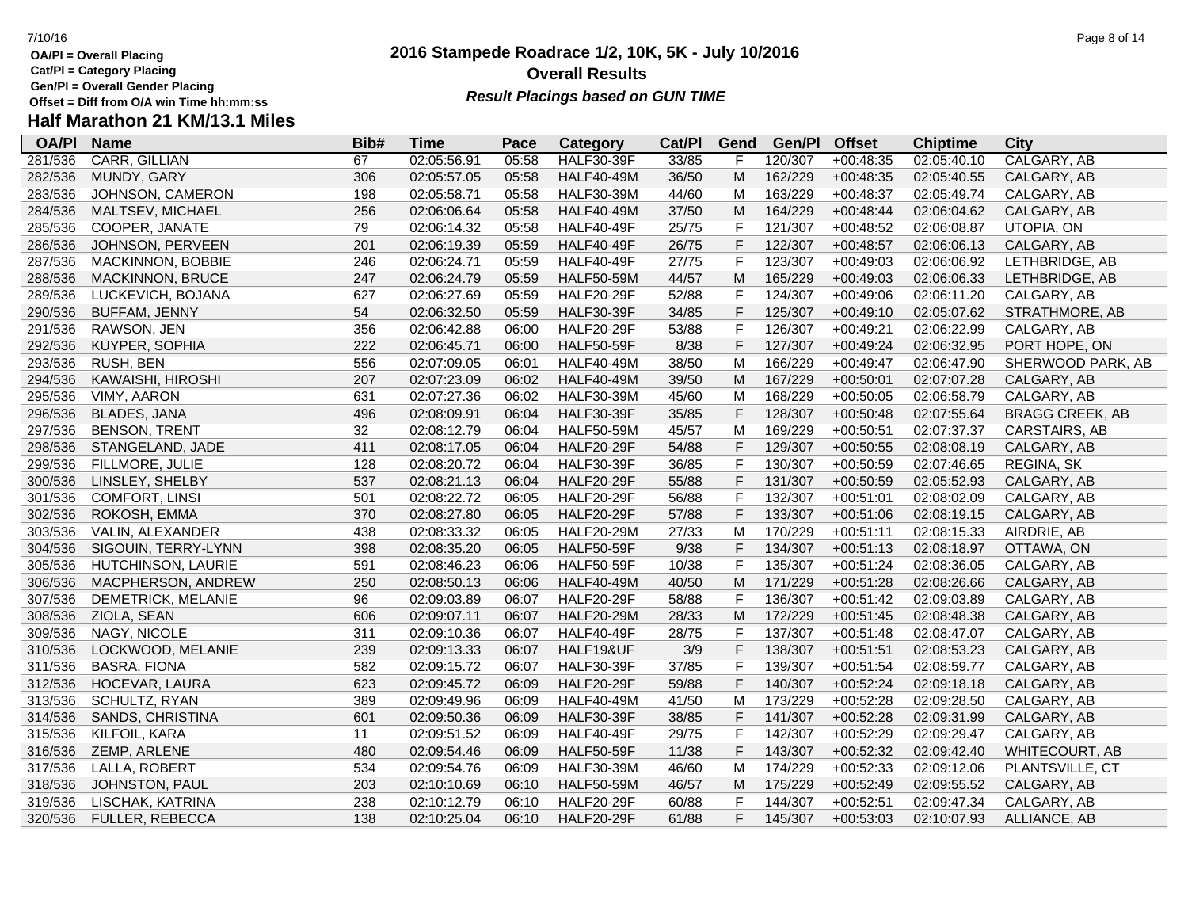**OA/Pl = Overall Placing**

**Cat/Pl = Category Placing**

**Gen/Pl = Overall Gender Placing**

**Half Marathon 21 KM/13.1 Miles**

### **2016 Stampede Roadrace 1/2, 10K, 5K - July 10/2016** 7/10/16 Page 8 of 14 **Overall Results Result Placings based on GUN TIME**

| <b>OA/PI</b> | <b>Name</b>             | Bib# | <b>Time</b> | Pace  | <b>Category</b>   | Cat/Pl | Gend         | Gen/Pl  | <b>Offset</b> | <b>Chiptime</b> | City                   |
|--------------|-------------------------|------|-------------|-------|-------------------|--------|--------------|---------|---------------|-----------------|------------------------|
| 281/536      | CARR, GILLIAN           | 67   | 02:05:56.91 | 05:58 | <b>HALF30-39F</b> | 33/85  | F            | 120/307 | $+00:48:35$   | 02:05:40.10     | CALGARY, AB            |
| 282/536      | MUNDY, GARY             | 306  | 02:05:57.05 | 05:58 | <b>HALF40-49M</b> | 36/50  | M            | 162/229 | $+00:48:35$   | 02:05:40.55     | CALGARY, AB            |
| 283/536      | JOHNSON, CAMERON        | 198  | 02:05:58.71 | 05:58 | <b>HALF30-39M</b> | 44/60  | M            | 163/229 | $+00:48:37$   | 02:05:49.74     | CALGARY, AB            |
| 284/536      | MALTSEV, MICHAEL        | 256  | 02:06:06.64 | 05:58 | <b>HALF40-49M</b> | 37/50  | M            | 164/229 | $+00:48:44$   | 02:06:04.62     | CALGARY, AB            |
| 285/536      | COOPER, JANATE          | 79   | 02:06:14.32 | 05:58 | <b>HALF40-49F</b> | 25/75  | $\mathsf F$  | 121/307 | $+00:48:52$   | 02:06:08.87     | UTOPIA, ON             |
| 286/536      | JOHNSON, PERVEEN        | 201  | 02:06:19.39 | 05:59 | HALF40-49F        | 26/75  | $\mathsf F$  | 122/307 | $+00:48:57$   | 02:06:06.13     | CALGARY, AB            |
| 287/536      | MACKINNON, BOBBIE       | 246  | 02:06:24.71 | 05:59 | HALF40-49F        | 27/75  | $\mathsf{F}$ | 123/307 | $+00:49:03$   | 02:06:06.92     | LETHBRIDGE, AB         |
| 288/536      | <b>MACKINNON, BRUCE</b> | 247  | 02:06:24.79 | 05:59 | <b>HALF50-59M</b> | 44/57  | M            | 165/229 | $+00:49:03$   | 02:06:06.33     | LETHBRIDGE, AB         |
| 289/536      | LUCKEVICH, BOJANA       | 627  | 02:06:27.69 | 05:59 | <b>HALF20-29F</b> | 52/88  | $\mathsf F$  | 124/307 | $+00:49:06$   | 02:06:11.20     | CALGARY, AB            |
| 290/536      | <b>BUFFAM, JENNY</b>    | 54   | 02:06:32.50 | 05:59 | <b>HALF30-39F</b> | 34/85  | F            | 125/307 | $+00:49:10$   | 02:05:07.62     | STRATHMORE, AB         |
| 291/536      | RAWSON, JEN             | 356  | 02:06:42.88 | 06:00 | <b>HALF20-29F</b> | 53/88  | $\mathsf{F}$ | 126/307 | $+00:49:21$   | 02:06:22.99     | CALGARY, AB            |
| 292/536      | KUYPER, SOPHIA          | 222  | 02:06:45.71 | 06:00 | <b>HALF50-59F</b> | 8/38   | F            | 127/307 | $+00:49:24$   | 02:06:32.95     | PORT HOPE, ON          |
| 293/536      | RUSH, BEN               | 556  | 02:07:09.05 | 06:01 | <b>HALF40-49M</b> | 38/50  | M            | 166/229 | $+00:49:47$   | 02:06:47.90     | SHERWOOD PARK, AB      |
| 294/536      | KAWAISHI, HIROSHI       | 207  | 02:07:23.09 | 06:02 | <b>HALF40-49M</b> | 39/50  | M            | 167/229 | $+00:50:01$   | 02:07:07.28     | CALGARY, AB            |
| 295/536      | VIMY, AARON             | 631  | 02:07:27.36 | 06:02 | <b>HALF30-39M</b> | 45/60  | M            | 168/229 | $+00:50:05$   | 02:06:58.79     | CALGARY, AB            |
| 296/536      | <b>BLADES, JANA</b>     | 496  | 02:08:09.91 | 06:04 | <b>HALF30-39F</b> | 35/85  | F            | 128/307 | $+00:50:48$   | 02:07:55.64     | <b>BRAGG CREEK, AB</b> |
| 297/536      | <b>BENSON, TRENT</b>    | 32   | 02:08:12.79 | 06:04 | <b>HALF50-59M</b> | 45/57  | M            | 169/229 | $+00:50:51$   | 02:07:37.37     | CARSTAIRS, AB          |
| 298/536      | STANGELAND, JADE        | 411  | 02:08:17.05 | 06:04 | <b>HALF20-29F</b> | 54/88  | $\mathsf F$  | 129/307 | $+00:50:55$   | 02:08:08.19     | CALGARY, AB            |
| 299/536      | FILLMORE, JULIE         | 128  | 02:08:20.72 | 06:04 | <b>HALF30-39F</b> | 36/85  | $\mathsf F$  | 130/307 | $+00:50:59$   | 02:07:46.65     | REGINA, SK             |
| 300/536      | LINSLEY, SHELBY         | 537  | 02:08:21.13 | 06:04 | <b>HALF20-29F</b> | 55/88  | $\mathsf F$  | 131/307 | $+00:50:59$   | 02:05:52.93     | CALGARY, AB            |
| 301/536      | <b>COMFORT, LINSI</b>   | 501  | 02:08:22.72 | 06:05 | <b>HALF20-29F</b> | 56/88  | $\mathsf F$  | 132/307 | $+00:51:01$   | 02:08:02.09     | CALGARY, AB            |
| 302/536      | ROKOSH, EMMA            | 370  | 02:08:27.80 | 06:05 | <b>HALF20-29F</b> | 57/88  | $\mathsf F$  | 133/307 | $+00:51:06$   | 02:08:19.15     | CALGARY, AB            |
| 303/536      | VALIN, ALEXANDER        | 438  | 02:08:33.32 | 06:05 | <b>HALF20-29M</b> | 27/33  | M            | 170/229 | $+00:51:11$   | 02:08:15.33     | AIRDRIE, AB            |
| 304/536      | SIGOUIN, TERRY-LYNN     | 398  | 02:08:35.20 | 06:05 | <b>HALF50-59F</b> | 9/38   | $\mathsf F$  | 134/307 | $+00:51:13$   | 02:08:18.97     | OTTAWA, ON             |
| 305/536      | HUTCHINSON, LAURIE      | 591  | 02:08:46.23 | 06:06 | <b>HALF50-59F</b> | 10/38  | $\mathsf{F}$ | 135/307 | $+00:51:24$   | 02:08:36.05     | CALGARY, AB            |
| 306/536      | MACPHERSON, ANDREW      | 250  | 02:08:50.13 | 06:06 | <b>HALF40-49M</b> | 40/50  | M            | 171/229 | $+00:51:28$   | 02:08:26.66     | CALGARY, AB            |
| 307/536      | DEMETRICK, MELANIE      | 96   | 02:09:03.89 | 06:07 | <b>HALF20-29F</b> | 58/88  | F            | 136/307 | $+00:51:42$   | 02:09:03.89     | CALGARY, AB            |
| 308/536      | ZIOLA, SEAN             | 606  | 02:09:07.11 | 06:07 | <b>HALF20-29M</b> | 28/33  | M            | 172/229 | $+00:51:45$   | 02:08:48.38     | CALGARY, AB            |
| 309/536      | NAGY, NICOLE            | 311  | 02:09:10.36 | 06:07 | <b>HALF40-49F</b> | 28/75  | $\mathsf F$  | 137/307 | $+00:51:48$   | 02:08:47.07     | CALGARY, AB            |
| 310/536      | LOCKWOOD, MELANIE       | 239  | 02:09:13.33 | 06:07 | HALF19&UF         | 3/9    | $\mathsf F$  | 138/307 | $+00:51:51$   | 02:08:53.23     | CALGARY, AB            |
| 311/536      | <b>BASRA, FIONA</b>     | 582  | 02:09:15.72 | 06:07 | <b>HALF30-39F</b> | 37/85  | $\mathsf F$  | 139/307 | $+00:51:54$   | 02:08:59.77     | CALGARY, AB            |
| 312/536      | HOCEVAR, LAURA          | 623  | 02:09:45.72 | 06:09 | <b>HALF20-29F</b> | 59/88  | $\mathsf F$  | 140/307 | $+00:52:24$   | 02:09:18.18     | CALGARY, AB            |
| 313/536      | SCHULTZ, RYAN           | 389  | 02:09:49.96 | 06:09 | <b>HALF40-49M</b> | 41/50  | M            | 173/229 | $+00:52:28$   | 02:09:28.50     | CALGARY, AB            |
| 314/536      | SANDS, CHRISTINA        | 601  | 02:09:50.36 | 06:09 | <b>HALF30-39F</b> | 38/85  | $\mathsf F$  | 141/307 | $+00:52:28$   | 02:09:31.99     | CALGARY, AB            |
| 315/536      | KILFOIL, KARA           | 11   | 02:09:51.52 | 06:09 | <b>HALF40-49F</b> | 29/75  | $\mathsf{F}$ | 142/307 | $+00:52:29$   | 02:09:29.47     | CALGARY, AB            |
| 316/536      | ZEMP, ARLENE            | 480  | 02:09:54.46 | 06:09 | <b>HALF50-59F</b> | 11/38  | F            | 143/307 | $+00:52:32$   | 02:09:42.40     | WHITECOURT, AB         |
| 317/536      | LALLA, ROBERT           | 534  | 02:09:54.76 | 06:09 | <b>HALF30-39M</b> | 46/60  | M            | 174/229 | $+00:52:33$   | 02:09:12.06     | PLANTSVILLE, CT        |
| 318/536      | JOHNSTON, PAUL          | 203  | 02:10:10.69 | 06:10 | <b>HALF50-59M</b> | 46/57  | M            | 175/229 | $+00:52:49$   | 02:09:55.52     | CALGARY, AB            |
| 319/536      | LISCHAK, KATRINA        | 238  | 02:10:12.79 | 06:10 | <b>HALF20-29F</b> | 60/88  | F            | 144/307 | $+00:52:51$   | 02:09:47.34     | CALGARY, AB            |

320/536 FULLER, REBECCA 138 02:10:25.04 06:10 HALF20-29F 61/88 F 145/307 +00:53:03 02:10:07.93 ALLIANCE, AB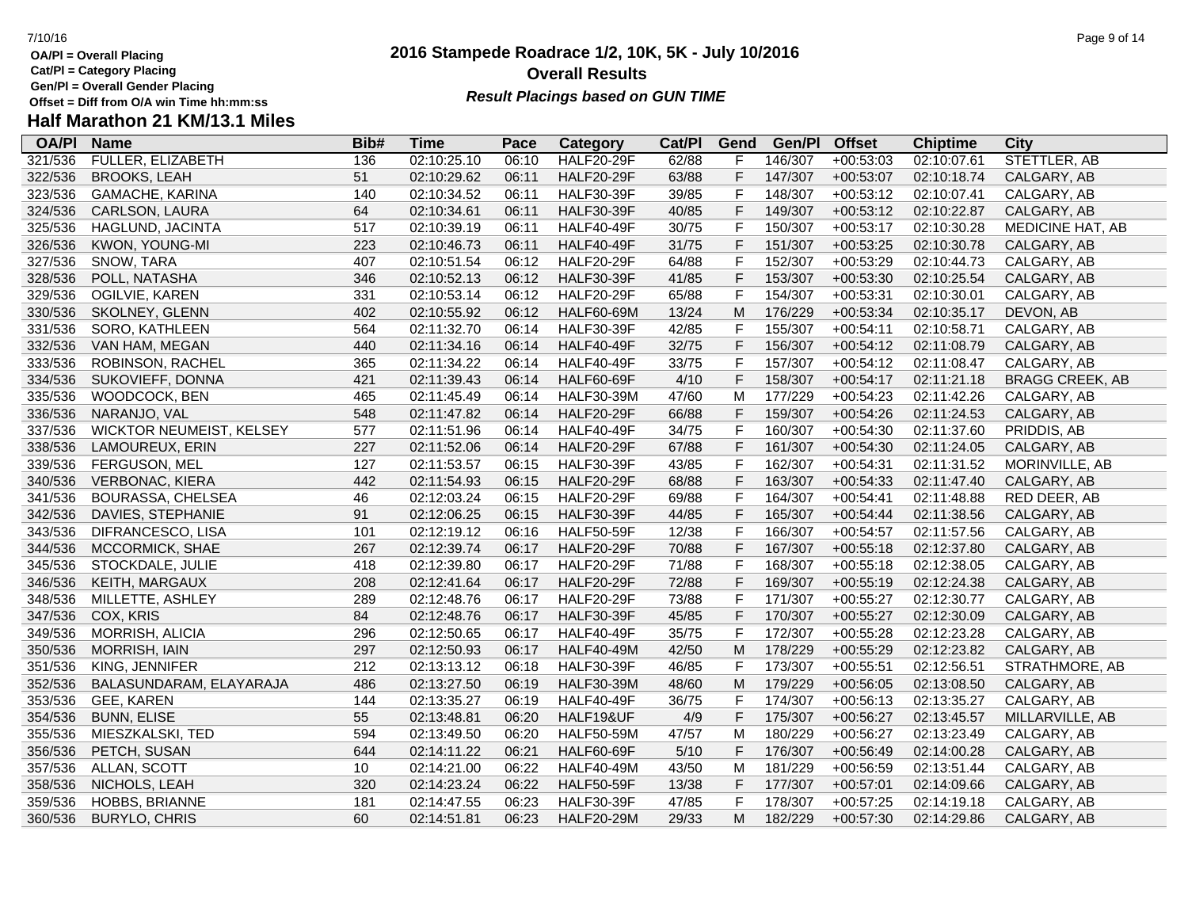**Gen/Pl = Overall Gender Placing**

### **2016 Stampede Roadrace 1/2, 10K, 5K - July 10/2016** 7/10/16 Page 9 of 14 **Overall Results Result Placings based on GUN TIME**

| <b>OA/PI</b> | <b>Name</b>                     | Bib# | Time        | Pace  | Category          | Cat/PI | Gend        | Gen/Pl  | <b>Offset</b> | <b>Chiptime</b> | City                    |
|--------------|---------------------------------|------|-------------|-------|-------------------|--------|-------------|---------|---------------|-----------------|-------------------------|
| 321/536      | FULLER, ELIZABETH               | 136  | 02:10:25.10 | 06:10 | <b>HALF20-29F</b> | 62/88  |             | 146/307 | $+00:53:03$   | 02:10:07.61     | STETTLER, AB            |
| 322/536      | <b>BROOKS, LEAH</b>             | 51   | 02:10:29.62 | 06:11 | <b>HALF20-29F</b> | 63/88  | F           | 147/307 | $+00:53:07$   | 02:10:18.74     | CALGARY, AB             |
| 323/536      | GAMACHE, KARINA                 | 140  | 02:10:34.52 | 06:11 | <b>HALF30-39F</b> | 39/85  | $\mathsf F$ | 148/307 | $+00:53:12$   | 02:10:07.41     | CALGARY, AB             |
| 324/536      | CARLSON, LAURA                  | 64   | 02:10:34.61 | 06:11 | <b>HALF30-39F</b> | 40/85  | F           | 149/307 | $+00:53:12$   | 02:10:22.87     | CALGARY, AB             |
| 325/536      | HAGLUND, JACINTA                | 517  | 02:10:39.19 | 06:11 | <b>HALF40-49F</b> | 30/75  | F           | 150/307 | $+00:53:17$   | 02:10:30.28     | <b>MEDICINE HAT, AB</b> |
| 326/536      | KWON, YOUNG-MI                  | 223  | 02:10:46.73 | 06:11 | <b>HALF40-49F</b> | 31/75  | $\mathsf F$ | 151/307 | $+00:53:25$   | 02:10:30.78     | CALGARY, AB             |
| 327/536      | SNOW, TARA                      | 407  | 02:10:51.54 | 06:12 | <b>HALF20-29F</b> | 64/88  | $\mathsf F$ | 152/307 | $+00:53:29$   | 02:10:44.73     | CALGARY, AB             |
| 328/536      | POLL, NATASHA                   | 346  | 02:10:52.13 | 06:12 | <b>HALF30-39F</b> | 41/85  | $\mathsf F$ | 153/307 | $+00:53:30$   | 02:10:25.54     | CALGARY, AB             |
| 329/536      | OGILVIE, KAREN                  | 331  | 02:10:53.14 | 06:12 | <b>HALF20-29F</b> | 65/88  | F           | 154/307 | $+00:53:31$   | 02:10:30.01     | CALGARY, AB             |
| 330/536      | SKOLNEY, GLENN                  | 402  | 02:10:55.92 | 06:12 | <b>HALF60-69M</b> | 13/24  | M           | 176/229 | $+00:53:34$   | 02:10:35.17     | DEVON, AB               |
| 331/536      | SORO, KATHLEEN                  | 564  | 02:11:32.70 | 06:14 | <b>HALF30-39F</b> | 42/85  | F           | 155/307 | $+00:54:11$   | 02:10:58.71     | CALGARY, AB             |
| 332/536      | VAN HAM, MEGAN                  | 440  | 02:11:34.16 | 06:14 | <b>HALF40-49F</b> | 32/75  | $\mathsf F$ | 156/307 | $+00:54:12$   | 02:11:08.79     | CALGARY, AB             |
| 333/536      | ROBINSON, RACHEL                | 365  | 02:11:34.22 | 06:14 | <b>HALF40-49F</b> | 33/75  | $\mathsf F$ | 157/307 | $+00:54:12$   | 02:11:08.47     | CALGARY, AB             |
| 334/536      | SUKOVIEFF, DONNA                | 421  | 02:11:39.43 | 06:14 | <b>HALF60-69F</b> | 4/10   | $\mathsf F$ | 158/307 | $+00:54:17$   | 02:11:21.18     | <b>BRAGG CREEK, AB</b>  |
| 335/536      | WOODCOCK, BEN                   | 465  | 02:11:45.49 | 06:14 | <b>HALF30-39M</b> | 47/60  | M           | 177/229 | $+00:54:23$   | 02:11:42.26     | CALGARY, AB             |
| 336/536      | NARANJO, VAL                    | 548  | 02:11:47.82 | 06:14 | <b>HALF20-29F</b> | 66/88  | $\mathsf F$ | 159/307 | $+00:54:26$   | 02:11:24.53     | CALGARY, AB             |
| 337/536      | <b>WICKTOR NEUMEIST, KELSEY</b> | 577  | 02:11:51.96 | 06:14 | <b>HALF40-49F</b> | 34/75  | $\mathsf F$ | 160/307 | $+00:54:30$   | 02:11:37.60     | PRIDDIS, AB             |
| 338/536      | LAMOUREUX, ERIN                 | 227  | 02:11:52.06 | 06:14 | <b>HALF20-29F</b> | 67/88  | $\mathsf F$ | 161/307 | $+00:54:30$   | 02:11:24.05     | CALGARY, AB             |
| 339/536      | FERGUSON, MEL                   | 127  | 02:11:53.57 | 06:15 | <b>HALF30-39F</b> | 43/85  | $\mathsf F$ | 162/307 | $+00:54:31$   | 02:11:31.52     | MORINVILLE, AB          |
| 340/536      | VERBONAC, KIERA                 | 442  | 02:11:54.93 | 06:15 | <b>HALF20-29F</b> | 68/88  | $\mathsf F$ | 163/307 | $+00:54:33$   | 02:11:47.40     | CALGARY, AB             |
| 341/536      | <b>BOURASSA, CHELSEA</b>        | 46   | 02:12:03.24 | 06:15 | <b>HALF20-29F</b> | 69/88  | $\mathsf F$ | 164/307 | $+00:54:41$   | 02:11:48.88     | RED DEER, AB            |
| 342/536      | DAVIES, STEPHANIE               | 91   | 02:12:06.25 | 06:15 | <b>HALF30-39F</b> | 44/85  | $\mathsf F$ | 165/307 | $+00:54:44$   | 02:11:38.56     | CALGARY, AB             |
| 343/536      | DIFRANCESCO, LISA               | 101  | 02:12:19.12 | 06:16 | <b>HALF50-59F</b> | 12/38  | $\mathsf F$ | 166/307 | $+00:54:57$   | 02:11:57.56     | CALGARY, AB             |
| 344/536      | MCCORMICK, SHAE                 | 267  | 02:12:39.74 | 06:17 | <b>HALF20-29F</b> | 70/88  | $\mathsf F$ | 167/307 | $+00:55:18$   | 02:12:37.80     | CALGARY, AB             |
| 345/536      | STOCKDALE, JULIE                | 418  | 02:12:39.80 | 06:17 | <b>HALF20-29F</b> | 71/88  | $\mathsf F$ | 168/307 | $+00:55:18$   | 02:12:38.05     | CALGARY, AB             |
| 346/536      | KEITH, MARGAUX                  | 208  | 02:12:41.64 | 06:17 | <b>HALF20-29F</b> | 72/88  | $\mathsf F$ | 169/307 | $+00:55:19$   | 02:12:24.38     | CALGARY, AB             |
| 348/536      | MILLETTE, ASHLEY                | 289  | 02:12:48.76 | 06:17 | <b>HALF20-29F</b> | 73/88  | $\mathsf F$ | 171/307 | $+00:55:27$   | 02:12:30.77     | CALGARY, AB             |
| 347/536      | COX, KRIS                       | 84   | 02:12:48.76 | 06:17 | <b>HALF30-39F</b> | 45/85  | F           | 170/307 | $+00:55:27$   | 02:12:30.09     | CALGARY, AB             |
| 349/536      | MORRISH, ALICIA                 | 296  | 02:12:50.65 | 06:17 | <b>HALF40-49F</b> | 35/75  | $\mathsf F$ | 172/307 | $+00:55:28$   | 02:12:23.28     | CALGARY, AB             |
| 350/536      | <b>MORRISH, IAIN</b>            | 297  | 02:12:50.93 | 06:17 | <b>HALF40-49M</b> | 42/50  | M           | 178/229 | $+00:55:29$   | 02:12:23.82     | CALGARY, AB             |
| 351/536      | KING, JENNIFER                  | 212  | 02:13:13.12 | 06:18 | <b>HALF30-39F</b> | 46/85  | $\mathsf F$ | 173/307 | $+00:55:51$   | 02:12:56.51     | STRATHMORE, AB          |
| 352/536      | BALASUNDARAM, ELAYARAJA         | 486  | 02:13:27.50 | 06:19 | <b>HALF30-39M</b> | 48/60  | M           | 179/229 | $+00:56:05$   | 02:13:08.50     | CALGARY, AB             |
| 353/536      | GEE, KAREN                      | 144  | 02:13:35.27 | 06:19 | <b>HALF40-49F</b> | 36/75  | F           | 174/307 | $+00:56:13$   | 02:13:35.27     | CALGARY, AB             |
| 354/536      | <b>BUNN, ELISE</b>              | 55   | 02:13:48.81 | 06:20 | HALF19&UF         | 4/9    | F           | 175/307 | $+00:56:27$   | 02:13:45.57     | MILLARVILLE, AB         |
| 355/536      | MIESZKALSKI, TED                | 594  | 02:13:49.50 | 06:20 | <b>HALF50-59M</b> | 47/57  | M           | 180/229 | $+00:56:27$   | 02:13:23.49     | CALGARY, AB             |
| 356/536      | PETCH, SUSAN                    | 644  | 02:14:11.22 | 06:21 | <b>HALF60-69F</b> | 5/10   | $\mathsf F$ | 176/307 | $+00:56:49$   | 02:14:00.28     | CALGARY, AB             |
| 357/536      | ALLAN, SCOTT                    | 10   | 02:14:21.00 | 06:22 | <b>HALF40-49M</b> | 43/50  | M           | 181/229 | $+00:56:59$   | 02:13:51.44     | CALGARY, AB             |
| 358/536      | NICHOLS, LEAH                   | 320  | 02:14:23.24 | 06:22 | <b>HALF50-59F</b> | 13/38  | F           | 177/307 | $+00:57:01$   | 02:14:09.66     | CALGARY, AB             |
| 359/536      | <b>HOBBS, BRIANNE</b>           | 181  | 02:14:47.55 | 06:23 | <b>HALF30-39F</b> | 47/85  | F           | 178/307 | $+00:57:25$   | 02:14:19.18     | CALGARY, AB             |
| 360/536      | <b>BURYLO, CHRIS</b>            | 60   | 02:14:51.81 | 06:23 | <b>HALF20-29M</b> | 29/33  | м           | 182/229 | $+00:57:30$   | 02:14:29.86     | CALGARY, AB             |
|              |                                 |      |             |       |                   |        |             |         |               |                 |                         |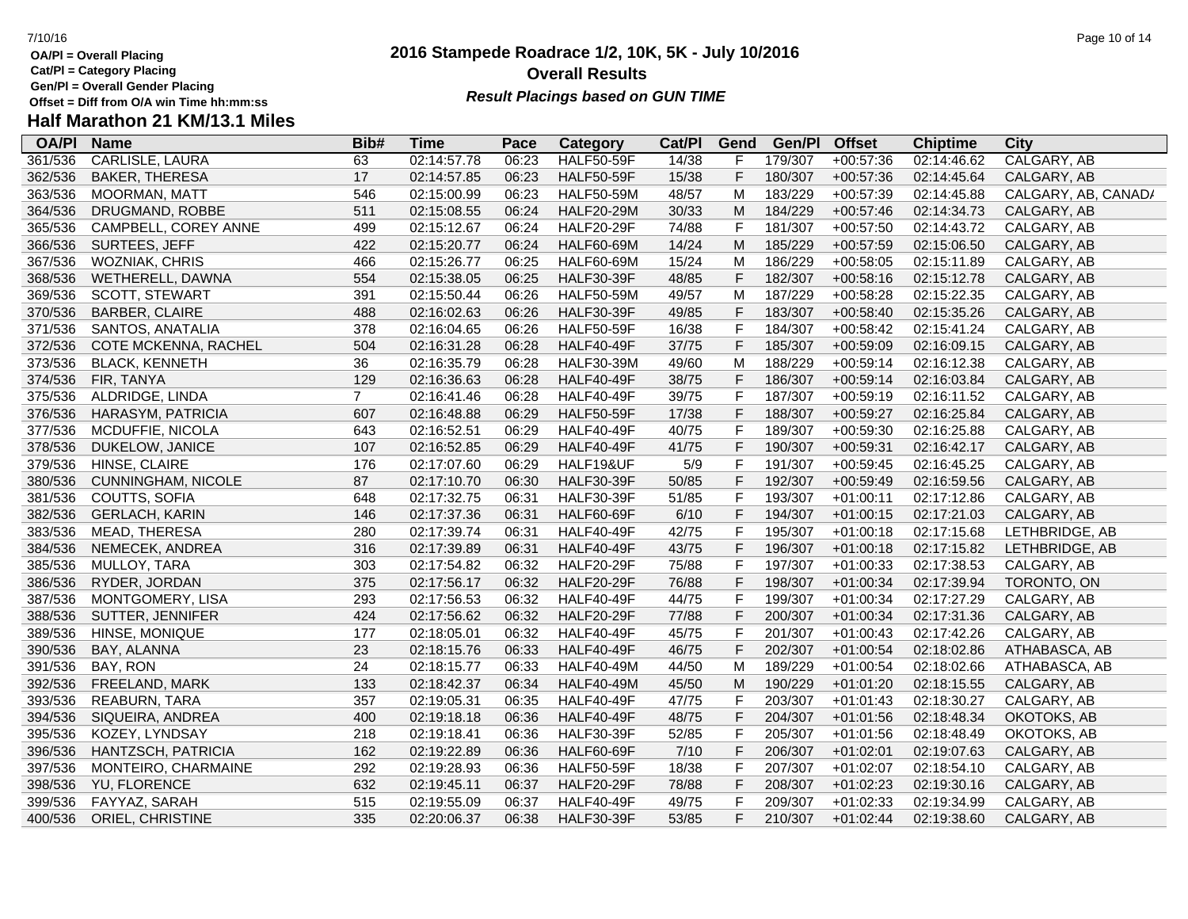**OA/Pl = Overall Placing**

**Cat/Pl = Category Placing**

**Gen/Pl = Overall Gender Placing**

# **Half Marathon 21 KM/13.1 Miles**

| <b>OA/PI</b> | <b>Name</b>               | Bib#           | <b>Time</b> | Pace  | <b>Category</b>   | Cat/PI | Gend | Gen/Pl  | <b>Offset</b> | <b>Chiptime</b> | City                |
|--------------|---------------------------|----------------|-------------|-------|-------------------|--------|------|---------|---------------|-----------------|---------------------|
| 361/536      | <b>CARLISLE, LAURA</b>    | 63             | 02:14:57.78 | 06:23 | <b>HALF50-59F</b> | 14/38  | F    | 179/307 | $+00:57:36$   | 02:14:46.62     | <b>CALGARY, AB</b>  |
| 362/536      | <b>BAKER, THERESA</b>     | 17             | 02:14:57.85 | 06:23 | <b>HALF50-59F</b> | 15/38  | F    | 180/307 | $+00:57:36$   | 02:14:45.64     | CALGARY, AB         |
| 363/536      | MOORMAN, MATT             | 546            | 02:15:00.99 | 06:23 | <b>HALF50-59M</b> | 48/57  | Μ    | 183/229 | $+00:57:39$   | 02:14:45.88     | CALGARY, AB, CANAD/ |
| 364/536      | DRUGMAND, ROBBE           | 511            | 02:15:08.55 | 06:24 | <b>HALF20-29M</b> | 30/33  | M    | 184/229 | $+00:57:46$   | 02:14:34.73     | CALGARY, AB         |
| 365/536      | CAMPBELL, COREY ANNE      | 499            | 02:15:12.67 | 06:24 | <b>HALF20-29F</b> | 74/88  | F    | 181/307 | $+00:57:50$   | 02:14:43.72     | CALGARY, AB         |
| 366/536      | SURTEES, JEFF             | 422            | 02:15:20.77 | 06:24 | <b>HALF60-69M</b> | 14/24  | M    | 185/229 | $+00:57:59$   | 02:15:06.50     | CALGARY, AB         |
| 367/536      | WOZNIAK, CHRIS            | 466            | 02:15:26.77 | 06:25 | <b>HALF60-69M</b> | 15/24  | M    | 186/229 | $+00:58:05$   | 02:15:11.89     | CALGARY, AB         |
| 368/536      | WETHERELL, DAWNA          | 554            | 02:15:38.05 | 06:25 | <b>HALF30-39F</b> | 48/85  | F    | 182/307 | $+00:58:16$   | 02:15:12.78     | CALGARY, AB         |
| 369/536      | <b>SCOTT, STEWART</b>     | 391            | 02:15:50.44 | 06:26 | <b>HALF50-59M</b> | 49/57  | М    | 187/229 | $+00:58:28$   | 02:15:22.35     | CALGARY, AB         |
| 370/536      | <b>BARBER, CLAIRE</b>     | 488            | 02:16:02.63 | 06:26 | <b>HALF30-39F</b> | 49/85  | F    | 183/307 | $+00:58:40$   | 02:15:35.26     | CALGARY, AB         |
| 371/536      | SANTOS, ANATALIA          | 378            | 02:16:04.65 | 06:26 | <b>HALF50-59F</b> | 16/38  | F    | 184/307 | $+00:58:42$   | 02:15:41.24     | CALGARY, AB         |
| 372/536      | COTE MCKENNA, RACHEL      | 504            | 02:16:31.28 | 06:28 | <b>HALF40-49F</b> | 37/75  | F    | 185/307 | $+00:59:09$   | 02:16:09.15     | CALGARY, AB         |
| 373/536      | <b>BLACK, KENNETH</b>     | 36             | 02:16:35.79 | 06:28 | <b>HALF30-39M</b> | 49/60  | M    | 188/229 | $+00:59:14$   | 02:16:12.38     | CALGARY, AB         |
| 374/536      | FIR, TANYA                | 129            | 02:16:36.63 | 06:28 | <b>HALF40-49F</b> | 38/75  | F    | 186/307 | $+00:59:14$   | 02:16:03.84     | CALGARY, AB         |
| 375/536      | ALDRIDGE, LINDA           | $\overline{7}$ | 02:16:41.46 | 06:28 | <b>HALF40-49F</b> | 39/75  | F    | 187/307 | $+00:59:19$   | 02:16:11.52     | CALGARY, AB         |
| 376/536      | HARASYM, PATRICIA         | 607            | 02:16:48.88 | 06:29 | <b>HALF50-59F</b> | 17/38  | F    | 188/307 | $+00:59:27$   | 02:16:25.84     | CALGARY, AB         |
| 377/536      | MCDUFFIE, NICOLA          | 643            | 02:16:52.51 | 06:29 | <b>HALF40-49F</b> | 40/75  | F    | 189/307 | $+00:59:30$   | 02:16:25.88     | CALGARY, AB         |
| 378/536      | DUKELOW, JANICE           | 107            | 02:16:52.85 | 06:29 | <b>HALF40-49F</b> | 41/75  | F    | 190/307 | $+00:59:31$   | 02:16:42.17     | CALGARY, AB         |
| 379/536      | HINSE, CLAIRE             | 176            | 02:17:07.60 | 06:29 | HALF19&UF         | 5/9    | F    | 191/307 | $+00:59:45$   | 02:16:45.25     | CALGARY, AB         |
| 380/536      | <b>CUNNINGHAM, NICOLE</b> | 87             | 02:17:10.70 | 06:30 | <b>HALF30-39F</b> | 50/85  | F    | 192/307 | $+00:59:49$   | 02:16:59.56     | CALGARY, AB         |
| 381/536      | COUTTS, SOFIA             | 648            | 02:17:32.75 | 06:31 | <b>HALF30-39F</b> | 51/85  | F    | 193/307 | $+01:00:11$   | 02:17:12.86     | CALGARY, AB         |
| 382/536      | <b>GERLACH, KARIN</b>     | 146            | 02:17:37.36 | 06:31 | HALF60-69F        | 6/10   | F    | 194/307 | $+01:00:15$   | 02:17:21.03     | CALGARY, AB         |
| 383/536      | MEAD, THERESA             | 280            | 02:17:39.74 | 06:31 | <b>HALF40-49F</b> | 42/75  | F    | 195/307 | $+01:00:18$   | 02:17:15.68     | LETHBRIDGE, AB      |
| 384/536      | NEMECEK, ANDREA           | 316            | 02:17:39.89 | 06:31 | <b>HALF40-49F</b> | 43/75  | F    | 196/307 | $+01:00:18$   | 02:17:15.82     | LETHBRIDGE, AB      |
| 385/536      | MULLOY, TARA              | 303            | 02:17:54.82 | 06:32 | <b>HALF20-29F</b> | 75/88  | F    | 197/307 | $+01:00:33$   | 02:17:38.53     | CALGARY, AB         |
| 386/536      | RYDER, JORDAN             | 375            | 02:17:56.17 | 06:32 | <b>HALF20-29F</b> | 76/88  | F    | 198/307 | $+01:00:34$   | 02:17:39.94     | TORONTO, ON         |
| 387/536      | MONTGOMERY, LISA          | 293            | 02:17:56.53 | 06:32 | <b>HALF40-49F</b> | 44/75  | F    | 199/307 | $+01:00:34$   | 02:17:27.29     | CALGARY, AB         |
| 388/536      | SUTTER, JENNIFER          | 424            | 02:17:56.62 | 06:32 | <b>HALF20-29F</b> | 77/88  | F    | 200/307 | $+01:00:34$   | 02:17:31.36     | CALGARY, AB         |
| 389/536      | HINSE, MONIQUE            | 177            | 02:18:05.01 | 06:32 | <b>HALF40-49F</b> | 45/75  | F    | 201/307 | $+01:00:43$   | 02:17:42.26     | CALGARY, AB         |
| 390/536      | BAY, ALANNA               | 23             | 02:18:15.76 | 06:33 | <b>HALF40-49F</b> | 46/75  | F    | 202/307 | $+01:00:54$   | 02:18:02.86     | ATHABASCA, AB       |
| 391/536      | BAY, RON                  | 24             | 02:18:15.77 | 06:33 | <b>HALF40-49M</b> | 44/50  | M    | 189/229 | $+01:00:54$   | 02:18:02.66     | ATHABASCA, AB       |
| 392/536      | FREELAND, MARK            | 133            | 02:18:42.37 | 06:34 | <b>HALF40-49M</b> | 45/50  | M    | 190/229 | $+01:01:20$   | 02:18:15.55     | CALGARY, AB         |
| 393/536      | <b>REABURN, TARA</b>      | 357            | 02:19:05.31 | 06:35 | <b>HALF40-49F</b> | 47/75  | F    | 203/307 | $+01:01:43$   | 02:18:30.27     | CALGARY, AB         |
| 394/536      | SIQUEIRA, ANDREA          | 400            | 02:19:18.18 | 06:36 | <b>HALF40-49F</b> | 48/75  | F    | 204/307 | $+01:01:56$   | 02:18:48.34     | OKOTOKS, AB         |
| 395/536      | KOZEY, LYNDSAY            | 218            | 02:19:18.41 | 06:36 | <b>HALF30-39F</b> | 52/85  | F    | 205/307 | $+01:01:56$   | 02:18:48.49     | OKOTOKS, AB         |
| 396/536      | HANTZSCH, PATRICIA        | 162            | 02:19:22.89 | 06:36 | HALF60-69F        | 7/10   | F    | 206/307 | $+01:02:01$   | 02:19:07.63     | CALGARY, AB         |
| 397/536      | MONTEIRO, CHARMAINE       | 292            | 02:19:28.93 | 06:36 | <b>HALF50-59F</b> | 18/38  | F    | 207/307 | $+01:02:07$   | 02:18:54.10     | CALGARY, AB         |
| 398/536      | <b>YU, FLORENCE</b>       | 632            | 02:19:45.11 | 06:37 | <b>HALF20-29F</b> | 78/88  | F    | 208/307 | $+01:02:23$   | 02:19:30.16     | CALGARY, AB         |
| 399/536      | FAYYAZ, SARAH             | 515            | 02:19:55.09 | 06:37 | <b>HALF40-49F</b> | 49/75  | F    | 209/307 | $+01:02:33$   | 02:19:34.99     | CALGARY, AB         |
| 400/536      | ORIEL, CHRISTINE          | 335            | 02:20:06.37 | 06:38 | <b>HALF30-39F</b> | 53/85  | F    | 210/307 | $+01:02:44$   | 02:19:38.60     | CALGARY, AB         |

# **2016 Stampede Roadrace 1/2, 10K, 5K - July 10/2016 Overall Results**

**Result Placings based on GUN TIME**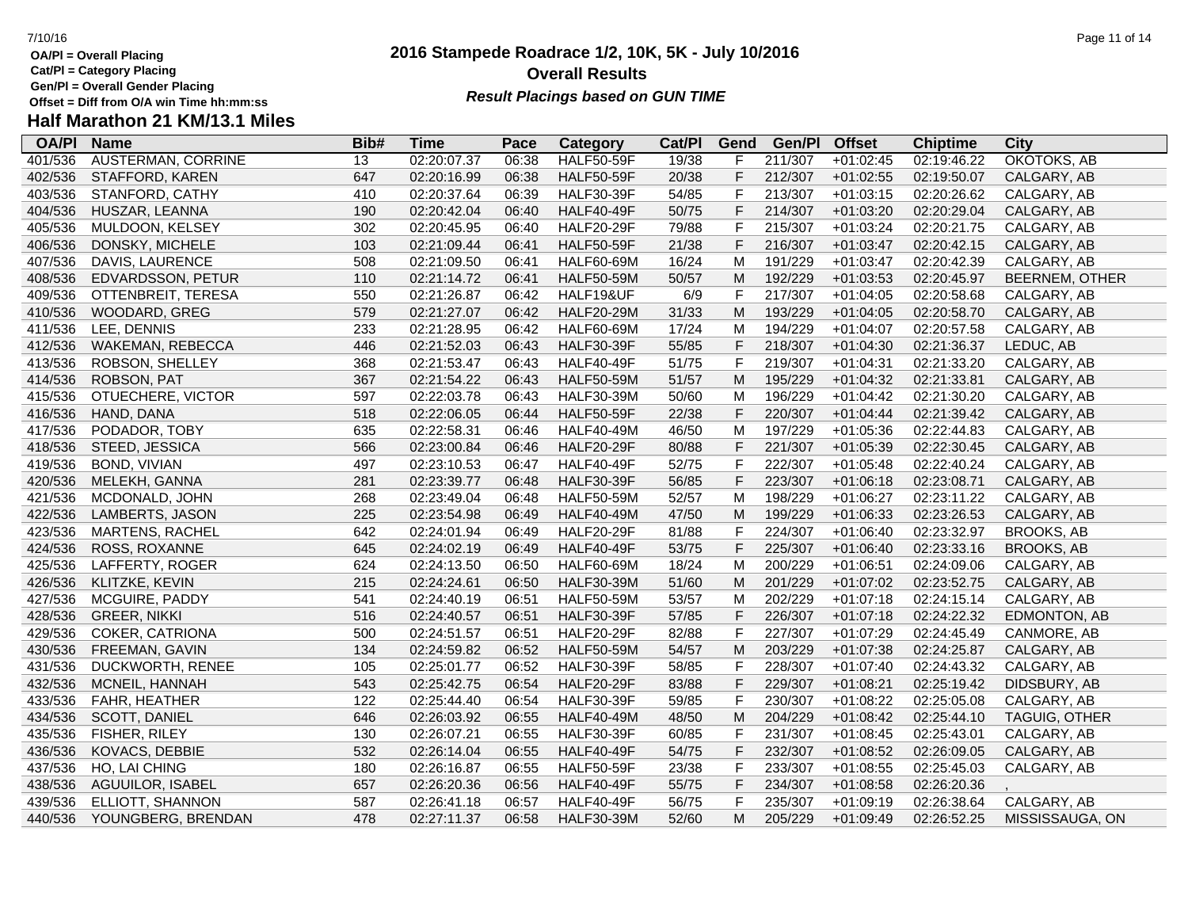**Gen/Pl = Overall Gender Placing**

# **Half Marathon 21 KM/13.1 Miles**

| <b>OA/PI</b> | <b>Name</b>               | Bib# | <b>Time</b> | Pace  | Category          | Cat/PI | Gend         | Gen/Pl  | <b>Offset</b> | <b>Chiptime</b> | <b>City</b>           |
|--------------|---------------------------|------|-------------|-------|-------------------|--------|--------------|---------|---------------|-----------------|-----------------------|
| 401/536      | <b>AUSTERMAN, CORRINE</b> | 13   | 02:20:07.37 | 06:38 | <b>HALF50-59F</b> | 19/38  | F            | 211/307 | $+01:02:45$   | 02:19:46.22     | OKOTOKS, AB           |
| 402/536      | STAFFORD, KAREN           | 647  | 02:20:16.99 | 06:38 | <b>HALF50-59F</b> | 20/38  | $\mathsf F$  | 212/307 | $+01:02:55$   | 02:19:50.07     | CALGARY, AB           |
| 403/536      | STANFORD, CATHY           | 410  | 02:20:37.64 | 06:39 | <b>HALF30-39F</b> | 54/85  | F            | 213/307 | $+01:03:15$   | 02:20:26.62     | CALGARY, AB           |
| 404/536      | HUSZAR, LEANNA            | 190  | 02:20:42.04 | 06:40 | <b>HALF40-49F</b> | 50/75  | $\mathsf{F}$ | 214/307 | $+01:03:20$   | 02:20:29.04     | CALGARY, AB           |
| 405/536      | MULDOON, KELSEY           | 302  | 02:20:45.95 | 06:40 | <b>HALF20-29F</b> | 79/88  | $\mathsf{F}$ | 215/307 | $+01:03:24$   | 02:20:21.75     | CALGARY, AB           |
| 406/536      | DONSKY, MICHELE           | 103  | 02:21:09.44 | 06:41 | <b>HALF50-59F</b> | 21/38  | $\mathsf F$  | 216/307 | $+01:03:47$   | 02:20:42.15     | CALGARY, AB           |
| 407/536      | DAVIS, LAURENCE           | 508  | 02:21:09.50 | 06:41 | <b>HALF60-69M</b> | 16/24  | M            | 191/229 | $+01:03:47$   | 02:20:42.39     | CALGARY, AB           |
| 408/536      | EDVARDSSON, PETUR         | 110  | 02:21:14.72 | 06:41 | <b>HALF50-59M</b> | 50/57  | M            | 192/229 | $+01:03:53$   | 02:20:45.97     | <b>BEERNEM, OTHER</b> |
| 409/536      | OTTENBREIT, TERESA        | 550  | 02:21:26.87 | 06:42 | HALF19&UF         | 6/9    | F            | 217/307 | $+01:04:05$   | 02:20:58.68     | CALGARY, AB           |
| 410/536      | WOODARD, GREG             | 579  | 02:21:27.07 | 06:42 | <b>HALF20-29M</b> | 31/33  | M            | 193/229 | $+01:04:05$   | 02:20:58.70     | CALGARY, AB           |
| 411/536      | LEE, DENNIS               | 233  | 02:21:28.95 | 06:42 | <b>HALF60-69M</b> | 17/24  | M            | 194/229 | $+01:04:07$   | 02:20:57.58     | CALGARY, AB           |
| 412/536      | WAKEMAN, REBECCA          | 446  | 02:21:52.03 | 06:43 | <b>HALF30-39F</b> | 55/85  | $\mathsf F$  | 218/307 | $+01:04:30$   | 02:21:36.37     | LEDUC, AB             |
| 413/536      | ROBSON, SHELLEY           | 368  | 02:21:53.47 | 06:43 | <b>HALF40-49F</b> | 51/75  | F            | 219/307 | $+01:04:31$   | 02:21:33.20     | CALGARY, AB           |
| 414/536      | ROBSON, PAT               | 367  | 02:21:54.22 | 06:43 | <b>HALF50-59M</b> | 51/57  | M            | 195/229 | $+01:04:32$   | 02:21:33.81     | CALGARY, AB           |
| 415/536      | OTUECHERE, VICTOR         | 597  | 02:22:03.78 | 06:43 | <b>HALF30-39M</b> | 50/60  | M            | 196/229 | $+01:04:42$   | 02:21:30.20     | CALGARY, AB           |
| 416/536      | HAND, DANA                | 518  | 02:22:06.05 | 06:44 | <b>HALF50-59F</b> | 22/38  | F            | 220/307 | $+01:04:44$   | 02:21:39.42     | CALGARY, AB           |
| 417/536      | PODADOR, TOBY             | 635  | 02:22:58.31 | 06:46 | <b>HALF40-49M</b> | 46/50  | M            | 197/229 | $+01:05:36$   | 02:22:44.83     | CALGARY, AB           |
| 418/536      | STEED, JESSICA            | 566  | 02:23:00.84 | 06:46 | <b>HALF20-29F</b> | 80/88  | F            | 221/307 | $+01:05:39$   | 02:22:30.45     | CALGARY, AB           |
| 419/536      | <b>BOND, VIVIAN</b>       | 497  | 02:23:10.53 | 06:47 | <b>HALF40-49F</b> | 52/75  | F            | 222/307 | $+01:05:48$   | 02:22:40.24     | CALGARY, AB           |
| 420/536      | MELEKH, GANNA             | 281  | 02:23:39.77 | 06:48 | <b>HALF30-39F</b> | 56/85  | $\mathsf F$  | 223/307 | $+01:06:18$   | 02:23:08.71     | CALGARY, AB           |
| 421/536      | MCDONALD, JOHN            | 268  | 02:23:49.04 | 06:48 | <b>HALF50-59M</b> | 52/57  | M            | 198/229 | $+01:06:27$   | 02:23:11.22     | CALGARY, AB           |
| 422/536      | LAMBERTS, JASON           | 225  | 02:23:54.98 | 06:49 | <b>HALF40-49M</b> | 47/50  | M            | 199/229 | $+01:06:33$   | 02:23:26.53     | CALGARY, AB           |
| 423/536      | <b>MARTENS, RACHEL</b>    | 642  | 02:24:01.94 | 06:49 | <b>HALF20-29F</b> | 81/88  | F            | 224/307 | $+01:06:40$   | 02:23:32.97     | <b>BROOKS, AB</b>     |
| 424/536      | ROSS, ROXANNE             | 645  | 02:24:02.19 | 06:49 | <b>HALF40-49F</b> | 53/75  | $\mathsf F$  | 225/307 | $+01:06:40$   | 02:23:33.16     | <b>BROOKS, AB</b>     |
| 425/536      | LAFFERTY, ROGER           | 624  | 02:24:13.50 | 06:50 | <b>HALF60-69M</b> | 18/24  | M            | 200/229 | $+01:06:51$   | 02:24:09.06     | CALGARY, AB           |
| 426/536      | KLITZKE, KEVIN            | 215  | 02:24:24.61 | 06:50 | <b>HALF30-39M</b> | 51/60  | M            | 201/229 | $+01:07:02$   | 02:23:52.75     | CALGARY, AB           |
| 427/536      | MCGUIRE, PADDY            | 541  | 02:24:40.19 | 06:51 | <b>HALF50-59M</b> | 53/57  | M            | 202/229 | $+01:07:18$   | 02:24:15.14     | CALGARY, AB           |
| 428/536      | <b>GREER, NIKKI</b>       | 516  | 02:24:40.57 | 06:51 | <b>HALF30-39F</b> | 57/85  | F            | 226/307 | $+01:07:18$   | 02:24:22.32     | EDMONTON, AB          |
| 429/536      | COKER, CATRIONA           | 500  | 02:24:51.57 | 06:51 | <b>HALF20-29F</b> | 82/88  | $\mathsf F$  | 227/307 | $+01:07:29$   | 02:24:45.49     | CANMORE, AB           |
| 430/536      | FREEMAN, GAVIN            | 134  | 02:24:59.82 | 06:52 | <b>HALF50-59M</b> | 54/57  | M            | 203/229 | $+01:07:38$   | 02:24:25.87     | CALGARY, AB           |
| 431/536      | <b>DUCKWORTH, RENEE</b>   | 105  | 02:25:01.77 | 06:52 | <b>HALF30-39F</b> | 58/85  | $\mathsf F$  | 228/307 | $+01:07:40$   | 02:24:43.32     | CALGARY, AB           |
| 432/536      | MCNEIL, HANNAH            | 543  | 02:25:42.75 | 06:54 | <b>HALF20-29F</b> | 83/88  | $\mathsf F$  | 229/307 | $+01:08:21$   | 02:25:19.42     | DIDSBURY, AB          |
| 433/536      | FAHR, HEATHER             | 122  | 02:25:44.40 | 06:54 | <b>HALF30-39F</b> | 59/85  | $\mathsf{F}$ | 230/307 | $+01:08:22$   | 02:25:05.08     | CALGARY, AB           |
| 434/536      | SCOTT, DANIEL             | 646  | 02:26:03.92 | 06:55 | <b>HALF40-49M</b> | 48/50  | M            | 204/229 | $+01:08:42$   | 02:25:44.10     | TAGUIG, OTHER         |
| 435/536      | <b>FISHER, RILEY</b>      | 130  | 02:26:07.21 | 06:55 | <b>HALF30-39F</b> | 60/85  | F            | 231/307 | $+01:08:45$   | 02:25:43.01     | CALGARY, AB           |
| 436/536      | KOVACS, DEBBIE            | 532  | 02:26:14.04 | 06:55 | <b>HALF40-49F</b> | 54/75  | $\mathsf F$  | 232/307 | $+01:08:52$   | 02:26:09.05     | CALGARY, AB           |
| 437/536      | HO, LAI CHING             | 180  | 02:26:16.87 | 06:55 | <b>HALF50-59F</b> | 23/38  | $\mathsf F$  | 233/307 | $+01:08:55$   | 02:25:45.03     | CALGARY, AB           |
| 438/536      | AGUUILOR, ISABEL          | 657  | 02:26:20.36 | 06:56 | <b>HALF40-49F</b> | 55/75  | $\mathsf F$  | 234/307 | $+01:08:58$   | 02:26:20.36     |                       |
| 439/536      | ELLIOTT, SHANNON          | 587  | 02:26:41.18 | 06:57 | <b>HALF40-49F</b> | 56/75  | $\mathsf F$  | 235/307 | $+01:09:19$   | 02:26:38.64     | CALGARY, AB           |
| 440/536      | YOUNGBERG, BRENDAN        | 478  | 02:27:11.37 | 06:58 | <b>HALF30-39M</b> | 52/60  | M            | 205/229 | $+01:09:49$   | 02:26:52.25     | MISSISSAUGA, ON       |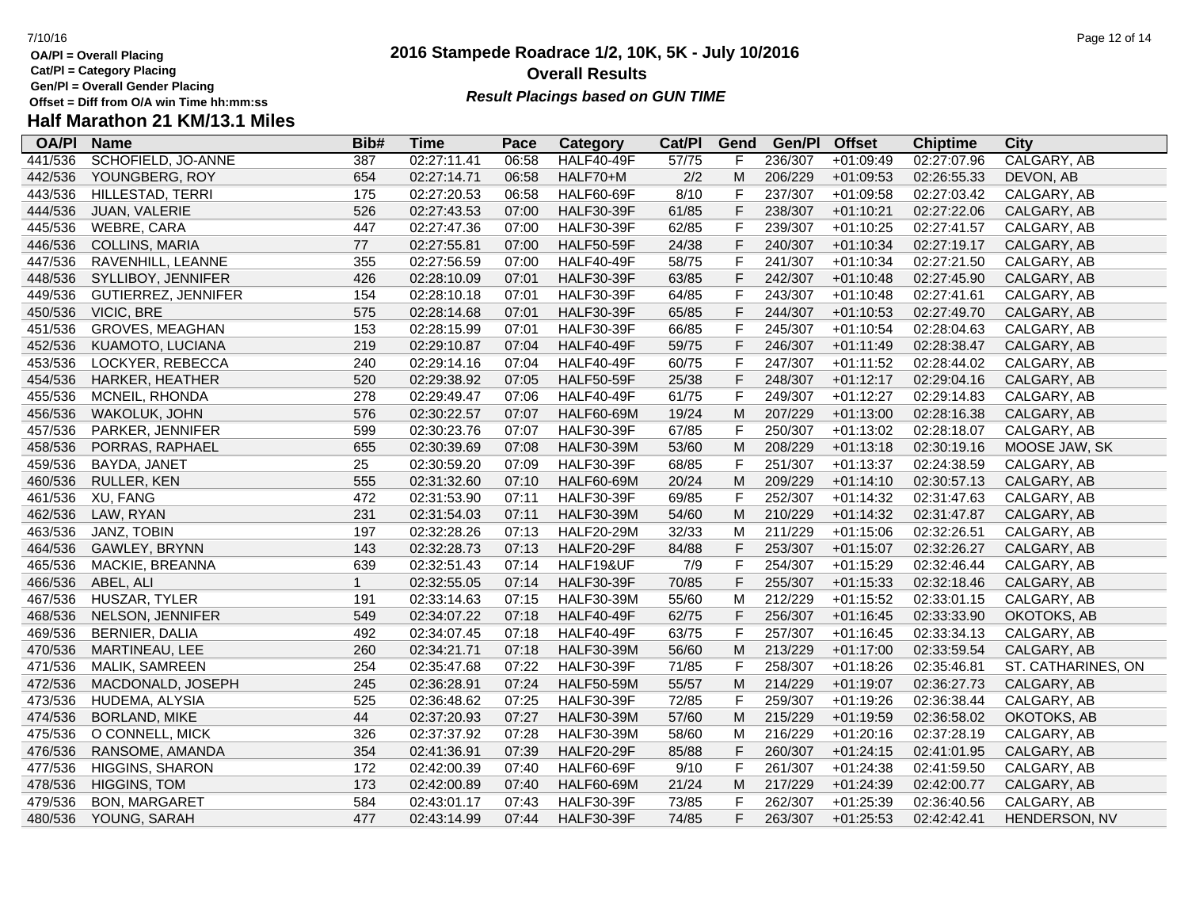**Gen/Pl = Overall Gender Placing**

# **Half Marathon 21 KM/13.1 Miles**

| <b>OA/PI</b> | <b>Name</b>            | Bib#           | <b>Time</b> | Pace  | Category          | Cat/PI | Gend         | Gen/Pl  | <b>Offset</b> | <b>Chiptime</b> | City               |
|--------------|------------------------|----------------|-------------|-------|-------------------|--------|--------------|---------|---------------|-----------------|--------------------|
| 441/536      | SCHOFIELD, JO-ANNE     | 387            | 02:27:11.41 | 06:58 | <b>HALF40-49F</b> | 57/75  | F            | 236/307 | $+01:09:49$   | 02:27:07.96     | CALGARY, AB        |
| 442/536      | YOUNGBERG, ROY         | 654            | 02:27:14.71 | 06:58 | HALF70+M          | $2/2$  | M            | 206/229 | $+01:09:53$   | 02:26:55.33     | DEVON, AB          |
| 443/536      | HILLESTAD, TERRI       | 175            | 02:27:20.53 | 06:58 | <b>HALF60-69F</b> | 8/10   | $\mathsf F$  | 237/307 | $+01:09:58$   | 02:27:03.42     | CALGARY, AB        |
| 444/536      | JUAN, VALERIE          | 526            | 02:27:43.53 | 07:00 | <b>HALF30-39F</b> | 61/85  | $\mathsf F$  | 238/307 | $+01:10:21$   | 02:27:22.06     | CALGARY, AB        |
| 445/536      | WEBRE, CARA            | 447            | 02:27:47.36 | 07:00 | <b>HALF30-39F</b> | 62/85  | $\mathsf F$  | 239/307 | $+01:10:25$   | 02:27:41.57     | CALGARY, AB        |
| 446/536      | <b>COLLINS, MARIA</b>  | 77             | 02:27:55.81 | 07:00 | <b>HALF50-59F</b> | 24/38  | $\mathsf F$  | 240/307 | $+01:10:34$   | 02:27:19.17     | CALGARY, AB        |
| 447/536      | RAVENHILL, LEANNE      | 355            | 02:27:56.59 | 07:00 | <b>HALF40-49F</b> | 58/75  | $\mathsf F$  | 241/307 | $+01:10:34$   | 02:27:21.50     | CALGARY, AB        |
| 448/536      | SYLLIBOY, JENNIFER     | 426            | 02:28:10.09 | 07:01 | <b>HALF30-39F</b> | 63/85  | $\mathsf F$  | 242/307 | $+01:10:48$   | 02:27:45.90     | CALGARY, AB        |
| 449/536      | GUTIERREZ, JENNIFER    | 154            | 02:28:10.18 | 07:01 | <b>HALF30-39F</b> | 64/85  | $\mathsf F$  | 243/307 | $+01:10:48$   | 02:27:41.61     | CALGARY, AB        |
| 450/536      | <b>VICIC, BRE</b>      | 575            | 02:28:14.68 | 07:01 | <b>HALF30-39F</b> | 65/85  | $\mathsf F$  | 244/307 | $+01:10:53$   | 02:27:49.70     | CALGARY, AB        |
| 451/536      | <b>GROVES, MEAGHAN</b> | 153            | 02:28:15.99 | 07:01 | <b>HALF30-39F</b> | 66/85  | $\mathsf F$  | 245/307 | $+01:10:54$   | 02:28:04.63     | CALGARY, AB        |
| 452/536      | KUAMOTO, LUCIANA       | 219            | 02:29:10.87 | 07:04 | <b>HALF40-49F</b> | 59/75  | $\mathsf F$  | 246/307 | $+01:11:49$   | 02:28:38.47     | CALGARY, AB        |
| 453/536      | LOCKYER, REBECCA       | 240            | 02:29:14.16 | 07:04 | <b>HALF40-49F</b> | 60/75  | $\mathsf F$  | 247/307 | $+01:11:52$   | 02:28:44.02     | CALGARY, AB        |
| 454/536      | HARKER, HEATHER        | 520            | 02:29:38.92 | 07:05 | <b>HALF50-59F</b> | 25/38  | $\mathsf F$  | 248/307 | $+01:12:17$   | 02:29:04.16     | CALGARY, AB        |
| 455/536      | MCNEIL, RHONDA         | 278            | 02:29:49.47 | 07:06 | <b>HALF40-49F</b> | 61/75  | $\mathsf F$  | 249/307 | $+01:12:27$   | 02:29:14.83     | CALGARY, AB        |
| 456/536      | WAKOLUK, JOHN          | 576            | 02:30:22.57 | 07:07 | <b>HALF60-69M</b> | 19/24  | M            | 207/229 | $+01:13:00$   | 02:28:16.38     | CALGARY, AB        |
| 457/536      | PARKER, JENNIFER       | 599            | 02:30:23.76 | 07:07 | <b>HALF30-39F</b> | 67/85  | $\mathsf F$  | 250/307 | $+01:13:02$   | 02:28:18.07     | CALGARY, AB        |
| 458/536      | PORRAS, RAPHAEL        | 655            | 02:30:39.69 | 07:08 | <b>HALF30-39M</b> | 53/60  | M            | 208/229 | $+01:13:18$   | 02:30:19.16     | MOOSE JAW, SK      |
| 459/536      | BAYDA, JANET           | 25             | 02:30:59.20 | 07:09 | <b>HALF30-39F</b> | 68/85  | $\mathsf{F}$ | 251/307 | $+01:13:37$   | 02:24:38.59     | CALGARY, AB        |
| 460/536      | RULLER, KEN            | 555            | 02:31:32.60 | 07:10 | <b>HALF60-69M</b> | 20/24  | M            | 209/229 | $+01:14:10$   | 02:30:57.13     | CALGARY, AB        |
| 461/536      | XU, FANG               | 472            | 02:31:53.90 | 07:11 | <b>HALF30-39F</b> | 69/85  | F            | 252/307 | $+01:14:32$   | 02:31:47.63     | CALGARY, AB        |
| 462/536      | LAW, RYAN              | 231            | 02:31:54.03 | 07:11 | <b>HALF30-39M</b> | 54/60  | M            | 210/229 | $+01:14:32$   | 02:31:47.87     | CALGARY, AB        |
| 463/536      | JANZ, TOBIN            | 197            | 02:32:28.26 | 07:13 | <b>HALF20-29M</b> | 32/33  | M            | 211/229 | $+01:15:06$   | 02:32:26.51     | CALGARY, AB        |
| 464/536      | GAWLEY, BRYNN          | 143            | 02:32:28.73 | 07:13 | <b>HALF20-29F</b> | 84/88  | $\mathsf F$  | 253/307 | $+01:15:07$   | 02:32:26.27     | CALGARY, AB        |
| 465/536      | <b>MACKIE, BREANNA</b> | 639            | 02:32:51.43 | 07:14 | HALF19&UF         | 7/9    | $\mathsf F$  | 254/307 | $+01:15:29$   | 02:32:46.44     | CALGARY, AB        |
| 466/536      | ABEL, ALI              | $\overline{1}$ | 02:32:55.05 | 07:14 | <b>HALF30-39F</b> | 70/85  | $\mathsf F$  | 255/307 | $+01:15:33$   | 02:32:18.46     | CALGARY, AB        |
| 467/536      | HUSZAR, TYLER          | 191            | 02:33:14.63 | 07:15 | <b>HALF30-39M</b> | 55/60  | M            | 212/229 | $+01:15:52$   | 02:33:01.15     | CALGARY, AB        |
| 468/536      | NELSON, JENNIFER       | 549            | 02:34:07.22 | 07:18 | <b>HALF40-49F</b> | 62/75  | $\mathsf F$  | 256/307 | $+01:16:45$   | 02:33:33.90     | OKOTOKS, AB        |
| 469/536      | BERNIER, DALIA         | 492            | 02:34:07.45 | 07:18 | <b>HALF40-49F</b> | 63/75  | $\mathsf F$  | 257/307 | $+01:16:45$   | 02:33:34.13     | CALGARY, AB        |
| 470/536      | MARTINEAU, LEE         | 260            | 02:34:21.71 | 07:18 | <b>HALF30-39M</b> | 56/60  | M            | 213/229 | $+01:17:00$   | 02:33:59.54     | CALGARY, AB        |
| 471/536      | MALIK, SAMREEN         | 254            | 02:35:47.68 | 07:22 | <b>HALF30-39F</b> | 71/85  | $\mathsf F$  | 258/307 | $+01:18:26$   | 02:35:46.81     | ST. CATHARINES, ON |
| 472/536      | MACDONALD, JOSEPH      | 245            | 02:36:28.91 | 07:24 | <b>HALF50-59M</b> | 55/57  | M            | 214/229 | $+01:19:07$   | 02:36:27.73     | CALGARY, AB        |
| 473/536      | HUDEMA, ALYSIA         | 525            | 02:36:48.62 | 07:25 | <b>HALF30-39F</b> | 72/85  | $\mathsf F$  | 259/307 | $+01:19:26$   | 02:36:38.44     | CALGARY, AB        |
| 474/536      | <b>BORLAND, MIKE</b>   | 44             | 02:37:20.93 | 07:27 | <b>HALF30-39M</b> | 57/60  | M            | 215/229 | $+01:19:59$   | 02:36:58.02     | OKOTOKS, AB        |
| 475/536      | O CONNELL, MICK        | 326            | 02:37:37.92 | 07:28 | <b>HALF30-39M</b> | 58/60  | M            | 216/229 | $+01:20:16$   | 02:37:28.19     | CALGARY, AB        |
| 476/536      | RANSOME, AMANDA        | 354            | 02:41:36.91 | 07:39 | <b>HALF20-29F</b> | 85/88  | $\mathsf F$  | 260/307 | $+01:24:15$   | 02:41:01.95     | CALGARY, AB        |
| 477/536      | <b>HIGGINS, SHARON</b> | 172            | 02:42:00.39 | 07:40 | <b>HALF60-69F</b> | 9/10   | $\mathsf F$  | 261/307 | $+01:24:38$   | 02:41:59.50     | CALGARY, AB        |
| 478/536      | <b>HIGGINS, TOM</b>    | 173            | 02:42:00.89 | 07:40 | <b>HALF60-69M</b> | 21/24  | M            | 217/229 | $+01:24:39$   | 02:42:00.77     | CALGARY, AB        |
| 479/536      | <b>BON, MARGARET</b>   | 584            | 02:43:01.17 | 07:43 | <b>HALF30-39F</b> | 73/85  | F            | 262/307 | $+01:25:39$   | 02:36:40.56     | CALGARY, AB        |
| 480/536      | YOUNG, SARAH           | 477            | 02:43:14.99 | 07:44 | <b>HALF30-39F</b> | 74/85  | F            | 263/307 | $+01:25:53$   | 02:42:42.41     | HENDERSON, NV      |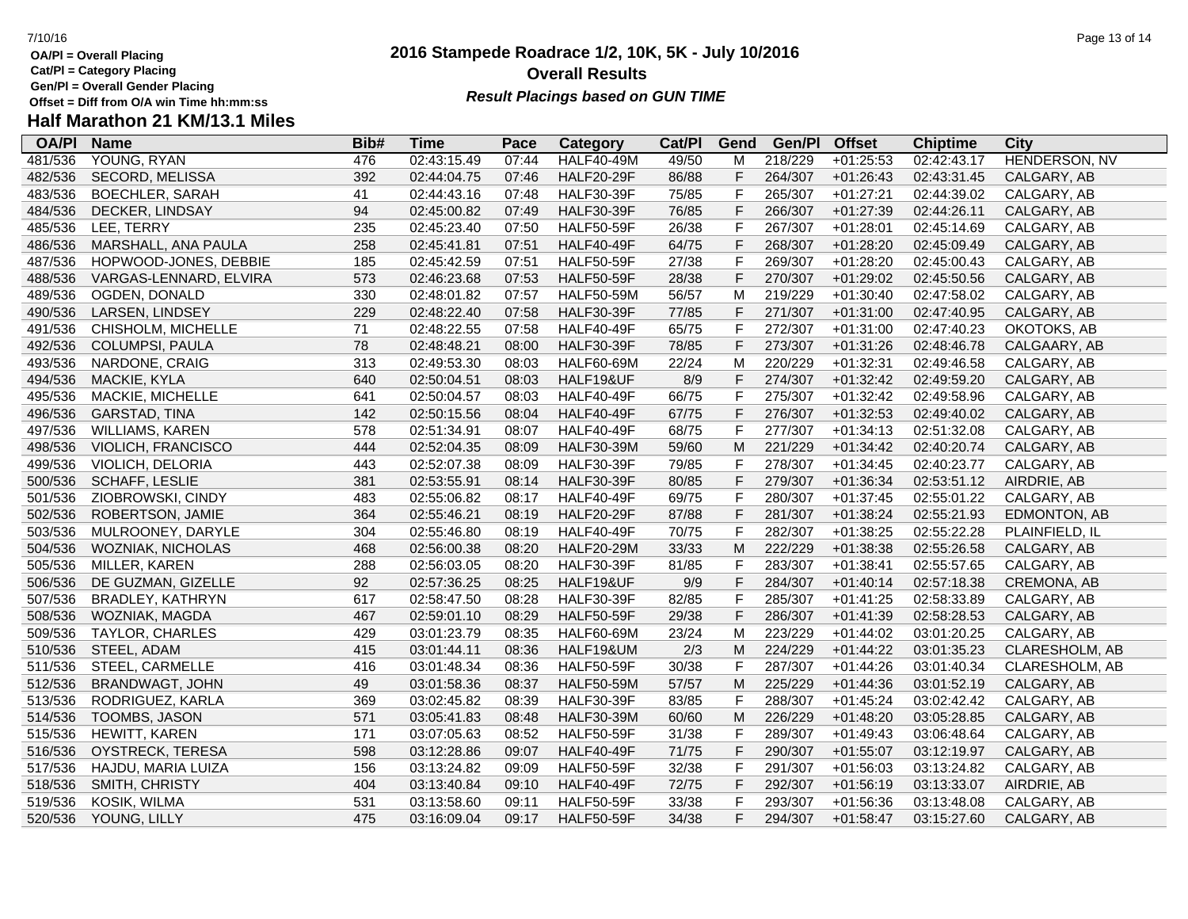**Gen/Pl = Overall Gender Placing**

### **2016 Stampede Roadrace 1/2, 10K, 5K - July 10/2016** 7/10/16 Page 13 of 14 **Overall Results Result Placings based on GUN TIME**

| <b>OA/PI</b> | <b>Name</b>               | Bib# | Time        | Pace  | Category          | Cat/PI | Gend           | Gen/Pl  | <b>Offset</b> | <b>Chiptime</b> | City           |
|--------------|---------------------------|------|-------------|-------|-------------------|--------|----------------|---------|---------------|-----------------|----------------|
| 481/536      | YOUNG, RYAN               | 476  | 02:43:15.49 | 07:44 | <b>HALF40-49M</b> | 49/50  | M              | 218/229 | $+01:25:53$   | 02:42:43.17     | HENDERSON, NV  |
| 482/536      | SECORD, MELISSA           | 392  | 02:44:04.75 | 07:46 | <b>HALF20-29F</b> | 86/88  | F              | 264/307 | $+01:26:43$   | 02:43:31.45     | CALGARY, AB    |
| 483/536      | <b>BOECHLER, SARAH</b>    | 41   | 02:44:43.16 | 07:48 | <b>HALF30-39F</b> | 75/85  | $\mathsf F$    | 265/307 | $+01:27:21$   | 02:44:39.02     | CALGARY, AB    |
| 484/536      | DECKER, LINDSAY           | 94   | 02:45:00.82 | 07:49 | <b>HALF30-39F</b> | 76/85  | F              | 266/307 | $+01:27:39$   | 02:44:26.11     | CALGARY, AB    |
| 485/536      | LEE, TERRY                | 235  | 02:45:23.40 | 07:50 | <b>HALF50-59F</b> | 26/38  | F              | 267/307 | $+01:28:01$   | 02:45:14.69     | CALGARY, AB    |
| 486/536      | MARSHALL, ANA PAULA       | 258  | 02:45:41.81 | 07:51 | <b>HALF40-49F</b> | 64/75  | $\mathsf F$    | 268/307 | $+01:28:20$   | 02:45:09.49     | CALGARY, AB    |
| 487/536      | HOPWOOD-JONES, DEBBIE     | 185  | 02:45:42.59 | 07:51 | <b>HALF50-59F</b> | 27/38  | $\mathsf{F}$   | 269/307 | $+01:28:20$   | 02:45:00.43     | CALGARY, AB    |
| 488/536      | VARGAS-LENNARD, ELVIRA    | 573  | 02:46:23.68 | 07:53 | <b>HALF50-59F</b> | 28/38  | $\overline{F}$ | 270/307 | $+01:29:02$   | 02:45:50.56     | CALGARY, AB    |
| 489/536      | OGDEN, DONALD             | 330  | 02:48:01.82 | 07:57 | <b>HALF50-59M</b> | 56/57  | M              | 219/229 | $+01:30:40$   | 02:47:58.02     | CALGARY, AB    |
| 490/536      | LARSEN, LINDSEY           | 229  | 02:48:22.40 | 07:58 | <b>HALF30-39F</b> | 77/85  | $\mathsf F$    | 271/307 | $+01:31:00$   | 02:47:40.95     | CALGARY, AB    |
| 491/536      | CHISHOLM, MICHELLE        | 71   | 02:48:22.55 | 07:58 | <b>HALF40-49F</b> | 65/75  | F              | 272/307 | $+01:31:00$   | 02:47:40.23     | OKOTOKS, AB    |
| 492/536      | COLUMPSI, PAULA           | 78   | 02:48:48.21 | 08:00 | <b>HALF30-39F</b> | 78/85  | F              | 273/307 | $+01:31:26$   | 02:48:46.78     | CALGAARY, AB   |
| 493/536      | NARDONE, CRAIG            | 313  | 02:49:53.30 | 08:03 | <b>HALF60-69M</b> | 22/24  | M              | 220/229 | $+01:32:31$   | 02:49:46.58     | CALGARY, AB    |
| 494/536      | MACKIE, KYLA              | 640  | 02:50:04.51 | 08:03 | HALF19&UF         | 8/9    | F              | 274/307 | $+01:32:42$   | 02:49:59.20     | CALGARY, AB    |
| 495/536      | MACKIE, MICHELLE          | 641  | 02:50:04.57 | 08:03 | <b>HALF40-49F</b> | 66/75  | $\mathsf F$    | 275/307 | $+01:32:42$   | 02:49:58.96     | CALGARY, AB    |
| 496/536      | GARSTAD, TINA             | 142  | 02:50:15.56 | 08:04 | <b>HALF40-49F</b> | 67/75  | $\mathsf F$    | 276/307 | $+01:32:53$   | 02:49:40.02     | CALGARY, AB    |
| 497/536      | <b>WILLIAMS, KAREN</b>    | 578  | 02:51:34.91 | 08:07 | <b>HALF40-49F</b> | 68/75  | $\mathsf F$    | 277/307 | $+01:34:13$   | 02:51:32.08     | CALGARY, AB    |
| 498/536      | <b>VIOLICH, FRANCISCO</b> | 444  | 02:52:04.35 | 08:09 | <b>HALF30-39M</b> | 59/60  | M              | 221/229 | $+01:34:42$   | 02:40:20.74     | CALGARY, AB    |
| 499/536      | VIOLICH, DELORIA          | 443  | 02:52:07.38 | 08:09 | <b>HALF30-39F</b> | 79/85  | F              | 278/307 | $+01:34:45$   | 02:40:23.77     | CALGARY, AB    |
| 500/536      | SCHAFF, LESLIE            | 381  | 02:53:55.91 | 08:14 | <b>HALF30-39F</b> | 80/85  | $\mathsf F$    | 279/307 | $+01:36:34$   | 02:53:51.12     | AIRDRIE, AB    |
| 501/536      | ZIOBROWSKI, CINDY         | 483  | 02:55:06.82 | 08:17 | <b>HALF40-49F</b> | 69/75  | F              | 280/307 | $+01:37:45$   | 02:55:01.22     | CALGARY, AB    |
| 502/536      | ROBERTSON, JAMIE          | 364  | 02:55:46.21 | 08:19 | <b>HALF20-29F</b> | 87/88  | $\mathsf F$    | 281/307 | $+01:38:24$   | 02:55:21.93     | EDMONTON, AB   |
| 503/536      | MULROONEY, DARYLE         | 304  | 02:55:46.80 | 08:19 | <b>HALF40-49F</b> | 70/75  | $\mathsf F$    | 282/307 | $+01:38:25$   | 02:55:22.28     | PLAINFIELD, IL |
| 504/536      | WOZNIAK, NICHOLAS         | 468  | 02:56:00.38 | 08:20 | <b>HALF20-29M</b> | 33/33  | M              | 222/229 | $+01:38:38$   | 02:55:26.58     | CALGARY, AB    |
| 505/536      | MILLER, KAREN             | 288  | 02:56:03.05 | 08:20 | <b>HALF30-39F</b> | 81/85  | $\mathsf{F}$   | 283/307 | $+01:38:41$   | 02:55:57.65     | CALGARY, AB    |
| 506/536      | DE GUZMAN, GIZELLE        | 92   | 02:57:36.25 | 08:25 | HALF19&UF         | 9/9    | $\mathsf F$    | 284/307 | $+01:40:14$   | 02:57:18.38     | CREMONA, AB    |
| 507/536      | <b>BRADLEY, KATHRYN</b>   | 617  | 02:58:47.50 | 08:28 | <b>HALF30-39F</b> | 82/85  | $\mathsf{F}$   | 285/307 | $+01:41:25$   | 02:58:33.89     | CALGARY, AB    |
| 508/536      | WOZNIAK, MAGDA            | 467  | 02:59:01.10 | 08:29 | <b>HALF50-59F</b> | 29/38  | $\mathsf F$    | 286/307 | $+01:41:39$   | 02:58:28.53     | CALGARY, AB    |
| 509/536      | <b>TAYLOR, CHARLES</b>    | 429  | 03:01:23.79 | 08:35 | <b>HALF60-69M</b> | 23/24  | M              | 223/229 | $+01:44:02$   | 03:01:20.25     | CALGARY, AB    |
| 510/536      | STEEL, ADAM               | 415  | 03:01:44.11 | 08:36 | HALF19&UM         | 2/3    | M              | 224/229 | $+01:44:22$   | 03:01:35.23     | CLARESHOLM, AB |
| 511/536      | STEEL, CARMELLE           | 416  | 03:01:48.34 | 08:36 | <b>HALF50-59F</b> | 30/38  | $\mathsf{F}$   | 287/307 | $+01:44:26$   | 03:01:40.34     | CLARESHOLM, AB |
| 512/536      | <b>BRANDWAGT, JOHN</b>    | 49   | 03:01:58.36 | 08:37 | <b>HALF50-59M</b> | 57/57  | M              | 225/229 | $+01:44:36$   | 03:01:52.19     | CALGARY, AB    |
| 513/536      | RODRIGUEZ, KARLA          | 369  | 03:02:45.82 | 08:39 | <b>HALF30-39F</b> | 83/85  | $\mathsf{F}$   | 288/307 | $+01:45:24$   | 03:02:42.42     | CALGARY, AB    |
| 514/536      | TOOMBS, JASON             | 571  | 03:05:41.83 | 08:48 | <b>HALF30-39M</b> | 60/60  | M              | 226/229 | $+01:48:20$   | 03:05:28.85     | CALGARY, AB    |
| 515/536      | HEWITT, KAREN             | 171  | 03:07:05.63 | 08:52 | <b>HALF50-59F</b> | 31/38  | F              | 289/307 | $+01:49:43$   | 03:06:48.64     | CALGARY, AB    |
| 516/536      | OYSTRECK, TERESA          | 598  | 03:12:28.86 | 09:07 | <b>HALF40-49F</b> | 71/75  | $\mathsf F$    | 290/307 | $+01:55:07$   | 03:12:19.97     | CALGARY, AB    |
| 517/536      | HAJDU, MARIA LUIZA        | 156  | 03:13:24.82 | 09:09 | <b>HALF50-59F</b> | 32/38  | $\mathsf F$    | 291/307 | $+01:56:03$   | 03:13:24.82     | CALGARY, AB    |
| 518/536      | SMITH, CHRISTY            | 404  | 03:13:40.84 | 09:10 | <b>HALF40-49F</b> | 72/75  | F              | 292/307 | $+01:56:19$   | 03:13:33.07     | AIRDRIE, AB    |
| 519/536      | KOSIK, WILMA              | 531  | 03:13:58.60 | 09:11 | <b>HALF50-59F</b> | 33/38  | F              | 293/307 | $+01:56:36$   | 03:13:48.08     | CALGARY, AB    |
| 520/536      | YOUNG, LILLY              | 475  | 03:16:09.04 | 09:17 | <b>HALF50-59F</b> | 34/38  | F              | 294/307 | $+01:58:47$   | 03:15:27.60     | CALGARY, AB    |
|              |                           |      |             |       |                   |        |                |         |               |                 |                |